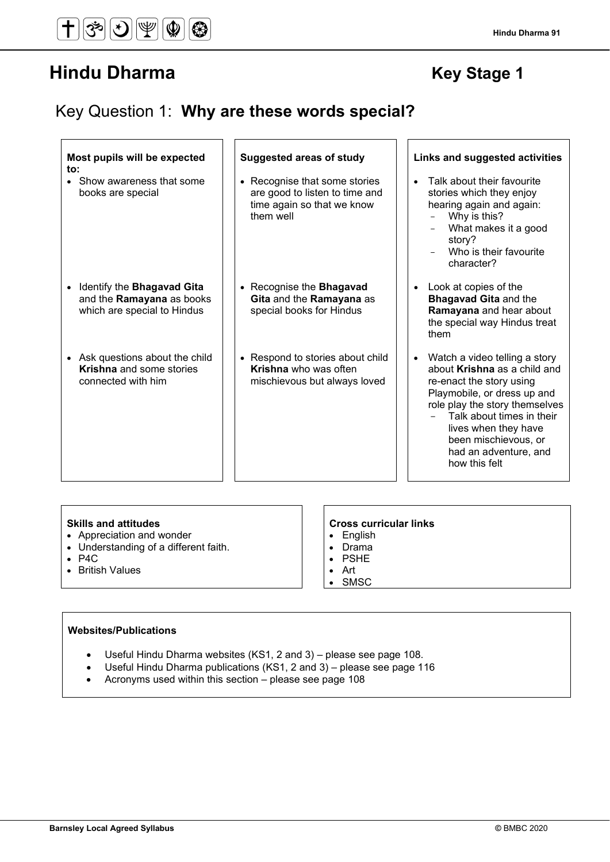# Key Question 1: **Why are these words special?**

| Most pupils will be expected<br>$\mathsf{to}$ :                                                            | <b>Suggested areas of study</b>                                                                            | Links and suggested activities                                                                                                                                                                                                                                                      |
|------------------------------------------------------------------------------------------------------------|------------------------------------------------------------------------------------------------------------|-------------------------------------------------------------------------------------------------------------------------------------------------------------------------------------------------------------------------------------------------------------------------------------|
| • Show awareness that some<br>books are special                                                            | • Recognise that some stories<br>are good to listen to time and<br>time again so that we know<br>them well | Talk about their favourite<br>$\bullet$<br>stories which they enjoy<br>hearing again and again:<br>Why is this?<br>What makes it a good<br>story?<br>Who is their favourite<br>character?                                                                                           |
| Identify the <b>Bhagavad Gita</b><br>$\bullet$<br>and the Ramayana as books<br>which are special to Hindus | • Recognise the <b>Bhagavad</b><br>Gita and the Ramayana as<br>special books for Hindus                    | Look at copies of the<br><b>Bhagavad Gita and the</b><br>Ramayana and hear about<br>the special way Hindus treat<br>them                                                                                                                                                            |
| • Ask questions about the child<br><b>Krishna</b> and some stories<br>connected with him                   | • Respond to stories about child<br>Krishna who was often<br>mischievous but always loved                  | • Watch a video telling a story<br>about Krishna as a child and<br>re-enact the story using<br>Playmobile, or dress up and<br>role play the story themselves<br>Talk about times in their<br>lives when they have<br>been mischievous, or<br>had an adventure, and<br>how this felt |

- Appreciation and wonder
- Understanding of a different faith.
- P4C
- British Values

# Skills and attitudes **CROS CROSE 18 CROSE CONSERVANT CROSE 2018 C** COSS CUTTICULAR LINKS

- English<br>• Drama
- Drama
- PSHE • Art
- SMSC

# **Websites/Publications**

- Useful Hindu Dharma websites (KS1, 2 and 3) please see page 108.
- Useful Hindu Dharma publications (KS1, 2 and 3) please see page 116
- Acronyms used within this section please see page 108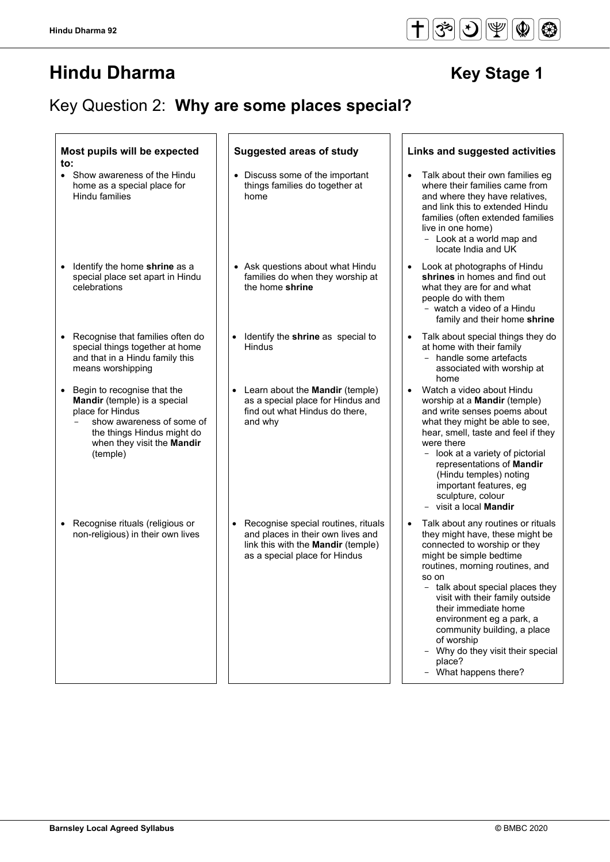# Key Question 2: **Why are some places special?**

| Most pupils will be expected<br>to:                                                                                                                                                               | <b>Suggested areas of study</b>                                                                                                                        | Links and suggested activities                                                                                                                                                                                                                                                                                                                                                                                                           |
|---------------------------------------------------------------------------------------------------------------------------------------------------------------------------------------------------|--------------------------------------------------------------------------------------------------------------------------------------------------------|------------------------------------------------------------------------------------------------------------------------------------------------------------------------------------------------------------------------------------------------------------------------------------------------------------------------------------------------------------------------------------------------------------------------------------------|
| Show awareness of the Hindu<br>$\bullet$<br>home as a special place for<br><b>Hindu families</b>                                                                                                  | • Discuss some of the important<br>things families do together at<br>home                                                                              | Talk about their own families eg<br>$\bullet$<br>where their families came from<br>and where they have relatives,<br>and link this to extended Hindu<br>families (often extended families<br>live in one home)<br>- Look at a world map and<br>locate India and UK                                                                                                                                                                       |
| Identify the home shrine as a<br>special place set apart in Hindu<br>celebrations                                                                                                                 | Ask questions about what Hindu<br>families do when they worship at<br>the home shrine                                                                  | Look at photographs of Hindu<br>shrines in homes and find out<br>what they are for and what<br>people do with them<br>- watch a video of a Hindu<br>family and their home shrine                                                                                                                                                                                                                                                         |
| Recognise that families often do<br>special things together at home<br>and that in a Hindu family this<br>means worshipping                                                                       | Identify the shrine as special to<br>$\bullet$<br><b>Hindus</b>                                                                                        | Talk about special things they do<br>at home with their family<br>- handle some artefacts<br>associated with worship at<br>home                                                                                                                                                                                                                                                                                                          |
| Begin to recognise that the<br>$\bullet$<br>Mandir (temple) is a special<br>place for Hindus<br>show awareness of some of<br>the things Hindus might do<br>when they visit the Mandir<br>(temple) | Learn about the Mandir (temple)<br>$\bullet$<br>as a special place for Hindus and<br>find out what Hindus do there,<br>and why                         | Watch a video about Hindu<br>$\bullet$<br>worship at a <b>Mandir</b> (temple)<br>and write senses poems about<br>what they might be able to see,<br>hear, smell, taste and feel if they<br>were there<br>- look at a variety of pictorial<br>representations of Mandir<br>(Hindu temples) noting<br>important features, eg<br>sculpture, colour<br>visit a local Mandir                                                                  |
| Recognise rituals (religious or<br>$\bullet$<br>non-religious) in their own lives                                                                                                                 | Recognise special routines, rituals<br>and places in their own lives and<br>link this with the <b>Mandir</b> (temple)<br>as a special place for Hindus | Talk about any routines or rituals<br>$\bullet$<br>they might have, these might be<br>connected to worship or they<br>might be simple bedtime<br>routines, morning routines, and<br>so on<br>$-$ talk about special places they<br>visit with their family outside<br>their immediate home<br>environment eg a park, a<br>community building, a place<br>of worship<br>Why do they visit their specia<br>place?<br>- What happens there? |

# $\overline{1}$

- Talk about their own families eg families (often extended families
	- family and their home **shrine**
- Talk about special things they do
- what they might be able to see, hear, smell, taste and feel if they
- Talk about any routines or rituals they might have, these might be routines, morning routines, and
	- talk about special places they visit with their family outside community building, a place
	- Why do they visit their special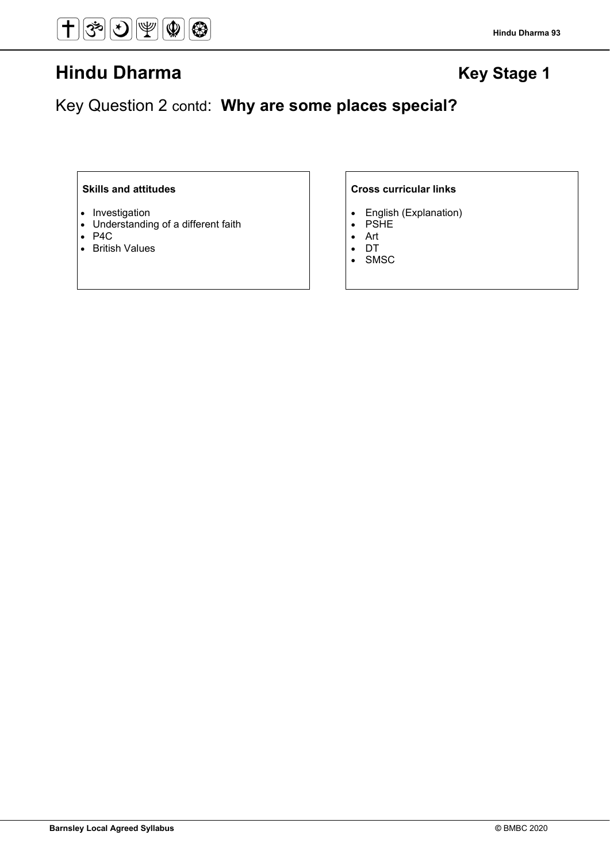Key Question 2 contd: **Why are some places special?**

- Investigation
- Understanding of a different faith
- P4C
- British Values

- English (Explanation)<br>• PSHE
- **PSHE**
- Art
- DT
- **SMSC**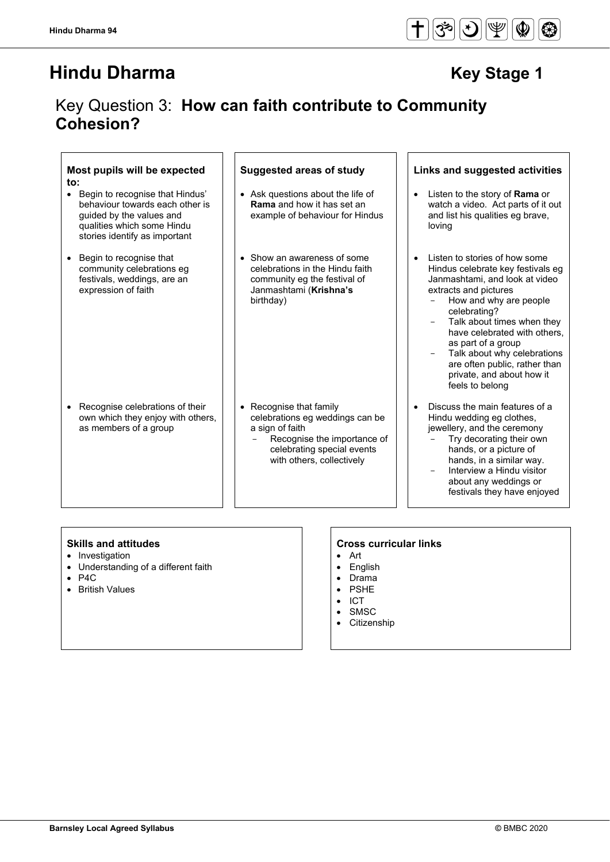# Key Question 3: **How can faith contribute to Community Cohesion?**

| Most pupils will be expected<br>$\mathsf{to}$ :<br>Begin to recognise that Hindus'<br>$\bullet$<br>behaviour towards each other is<br>guided by the values and<br>qualities which some Hindu | <b>Suggested areas of study</b><br>• Ask questions about the life of<br><b>Rama</b> and how it has set an<br>example of behaviour for Hindus                            | Links and suggested activities<br>Listen to the story of <b>Rama</b> or<br>$\bullet$<br>watch a video. Act parts of it out<br>and list his qualities eg brave,<br>loving                                                                                          |
|----------------------------------------------------------------------------------------------------------------------------------------------------------------------------------------------|-------------------------------------------------------------------------------------------------------------------------------------------------------------------------|-------------------------------------------------------------------------------------------------------------------------------------------------------------------------------------------------------------------------------------------------------------------|
| stories identify as important<br>Begin to recognise that<br>community celebrations eg<br>festivals, weddings, are an<br>expression of faith                                                  | • Show an awareness of some<br>celebrations in the Hindu faith<br>community eg the festival of<br>Janmashtami (Krishna's<br>birthday)                                   | Listen to stories of how some<br>Hindus celebrate key festivals eg<br>Janmashtami, and look at video<br>extracts and pictures<br>How and why are people<br>celebrating?<br>Talk about times when they                                                             |
|                                                                                                                                                                                              |                                                                                                                                                                         | have celebrated with others.<br>as part of a group<br>Talk about why celebrations<br>are often public, rather than<br>private, and about how it<br>feels to belong                                                                                                |
| Recognise celebrations of their<br>$\bullet$<br>own which they enjoy with others,<br>as members of a group                                                                                   | • Recognise that family<br>celebrations eg weddings can be<br>a sign of faith<br>Recognise the importance of<br>celebrating special events<br>with others, collectively | Discuss the main features of a<br>Hindu wedding eg clothes,<br>jewellery, and the ceremony<br>Try decorating their own<br>hands, or a picture of<br>hands, in a similar way.<br>Interview a Hindu visitor<br>about any weddings or<br>festivals they have enjoyed |

- Investigation
- Understanding of a different faith
- P4C
- British Values

- Art
- English
- Drama • PSHE
- 
- ICT<br>• SMS
- SMSC<br>• Citizen
- **Citizenship**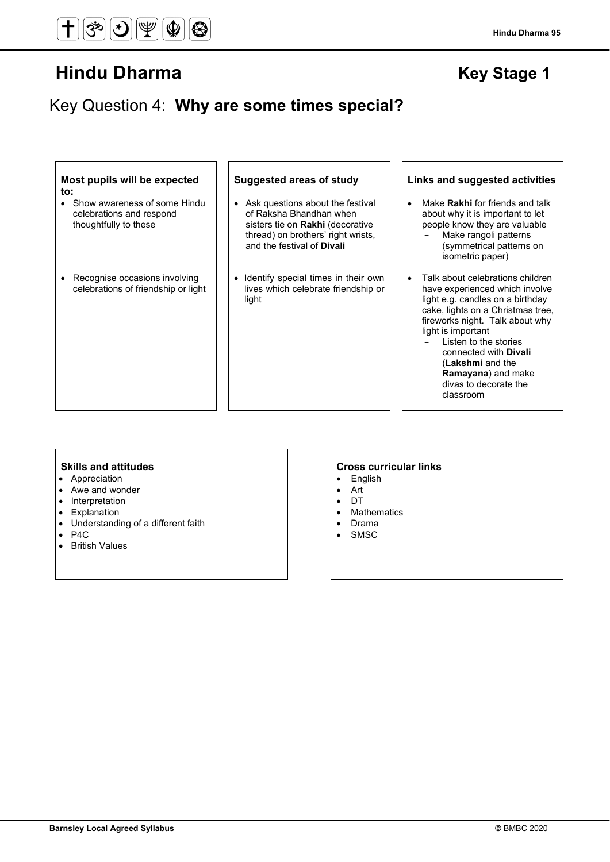# Key Question 4: **Why are some times special?**

#### **Most pupils will be expected to:**

- Show awareness of some Hindu celebrations and respond thoughtfully to these
- Recognise occasions involving celebrations of friendship or light

- Ask questions about the festival of Raksha Bhandhan when sisters tie on **Rakhi** (decorative thread) on brothers' right wrists, and the festival of **Divali**
- Identify special times in their own lives which celebrate friendship or light

### **Suggested areas of study Links and suggested activities**

- Make **Rakhi** for friends and talk about why it is important to let people know they are valuable
	- Make rangoli patterns (symmetrical patterns on isometric paper)
- Talk about celebrations children have experienced which involve light e.g. candles on a birthday cake, lights on a Christmas tree, fireworks night. Talk about why light is important
	- Listen to the stories connected with **Divali** (**Lakshmi** and the **Ramayana**) and make divas to decorate the classroom

- Appreciation
- Awe and wonder
- Interpretation
- Explanation<br>• Understandi
- Understanding of a different faith
- $\bullet$  P4C
- British Values

- English
- Art
- DT
- Mathematics
- Drama
- SMSC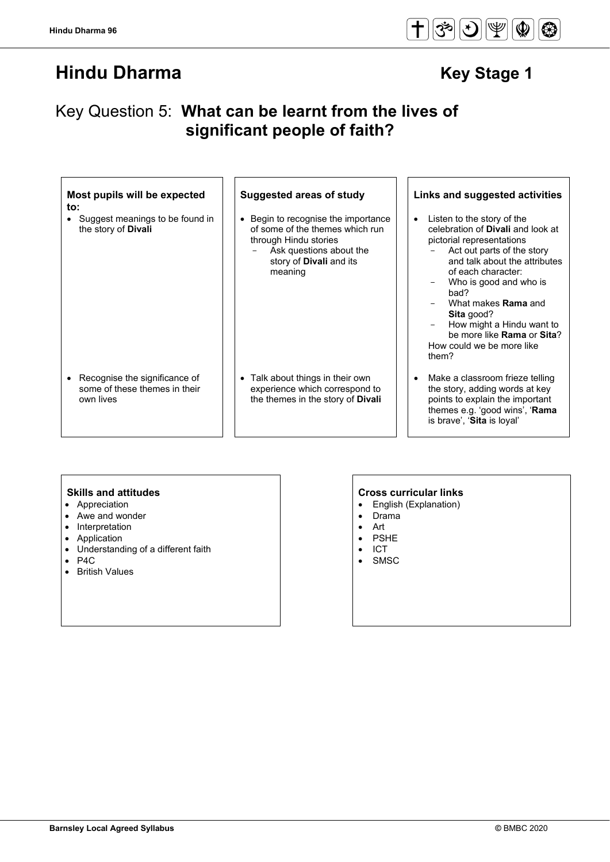

# Key Question 5: **What can be learnt from the lives of significant people of faith?**

## **Most pupils will be expected to:**

• Suggest meanings to be found in the story of **Divali**

• Begin to recognise the importance of some of the themes which run through Hindu stories Ask questions about the story of **Divali** and its meaning

• Recognise the significance of some of these themes in their own lives

#### • Talk about things in their own experience which correspond to the themes in the story of **Divali**

### **Suggested areas of study Links and suggested activities**

- Listen to the story of the celebration of **Divali** and look at pictorial representations Act out parts of the story
	- and talk about the attributes of each character: Who is good and who is
	- bad? What makes **Rama** and
	- **Sita** good?
	- How might a Hindu want to be more like **Rama** or **Sita**? How could we be more like them?
- Make a classroom frieze telling the story, adding words at key points to explain the important themes e.g. 'good wins', '**Rama** is brave', '**Sita** is loyal'

- Appreciation
- Awe and wonder
- Interpretation
- Application
- Understanding of a different faith
- P4C
- British Values

- English (Explanation)
- Drama
- Art
- PSHE
- **ICT**
- **SMSC**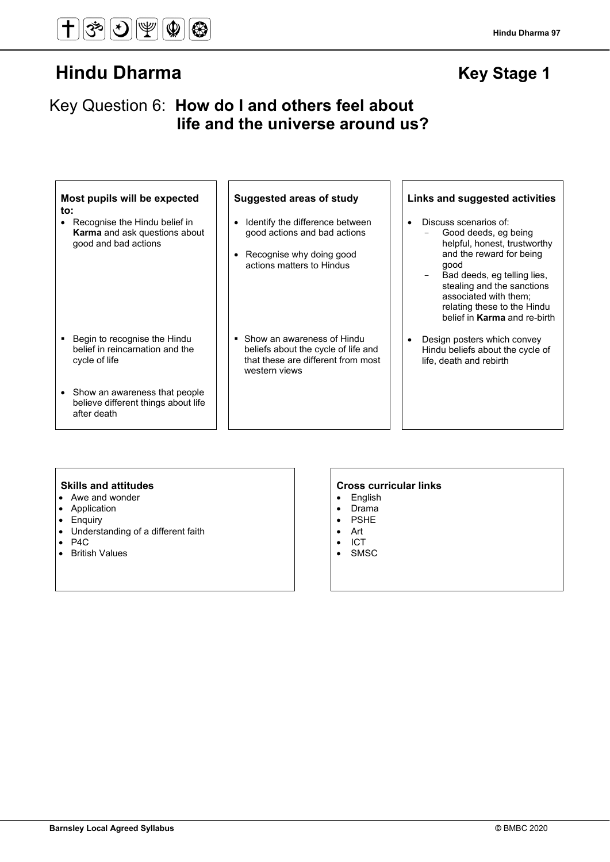# Key Question 6: **How do I and others feel about life and the universe around us?**

### **Most pupils will be expected to:**

• Recognise the Hindu belief in **Karma** and ask questions about good and bad actions

- Identify the difference between good actions and bad actions
- Recognise why doing good actions matters to Hindus
- **Begin to recognise the Hindu** belief in reincarnation and the cycle of life
- Show an awareness that people believe different things about life after death
- Show an awareness of Hindu beliefs about the cycle of life and that these are different from most western views

### **Suggested areas of study Links and suggested activities**

- Discuss scenarios of:
	- Good deeds, eg being helpful, honest, trustworthy and the reward for being good
	- Bad deeds, eg telling lies, stealing and the sanctions associated with them; relating these to the Hindu belief in **Karma** and re-birth
- Design posters which convey Hindu beliefs about the cycle of life, death and rebirth

- Awe and wonder
- Application
- Enquiry
- Understanding of a different faith
- P4C
- British Values

- **English**
- Drama
- **PSHE**
- Art
- ICT • SMSC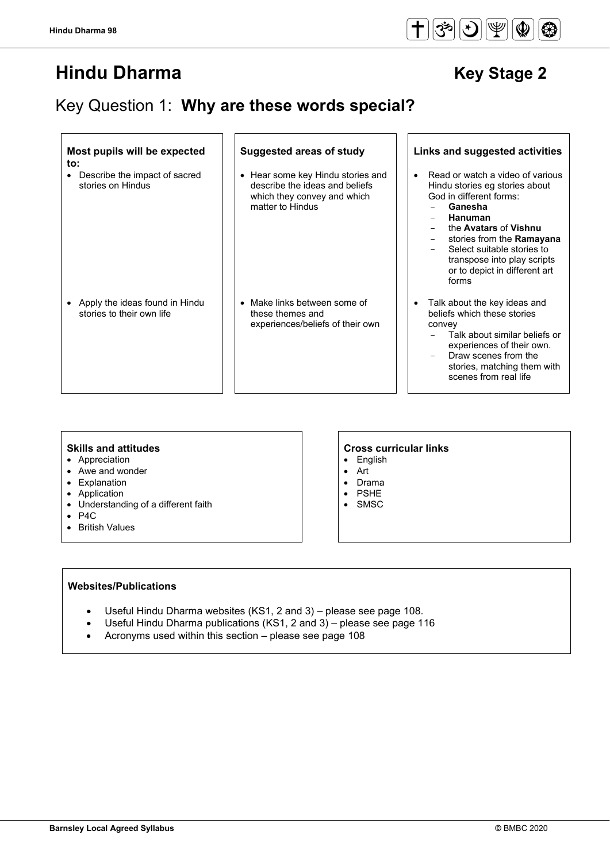$\overline{\Gamma}$ 

# **Hindu Dharma** Key Stage 2

# Key Question 1: **Why are these words special?**

1 F

| Most pupils will be expected<br>$\mathsf{to}$ :                 | <b>Suggested areas of study</b>                                                                                        | Links and suggested activities                                                                                                                                                                                                                                                                                   |
|-----------------------------------------------------------------|------------------------------------------------------------------------------------------------------------------------|------------------------------------------------------------------------------------------------------------------------------------------------------------------------------------------------------------------------------------------------------------------------------------------------------------------|
| Describe the impact of sacred<br>$\bullet$<br>stories on Hindus | • Hear some key Hindu stories and<br>describe the ideas and beliefs<br>which they convey and which<br>matter to Hindus | Read or watch a video of various<br>$\bullet$<br>Hindu stories eg stories about<br>God in different forms:<br>Ganesha<br><b>Hanuman</b><br>-<br>the Avatars of Vishnu<br>stories from the <b>Ramayana</b><br>Select suitable stories to<br>transpose into play scripts<br>or to depict in different art<br>forms |
| Apply the ideas found in Hindu<br>stories to their own life     | Make links between some of<br>these themes and<br>experiences/beliefs of their own                                     | Talk about the key ideas and<br>$\bullet$<br>beliefs which these stories<br>convey<br>Talk about similar beliefs or<br>experiences of their own.<br>Draw scenes from the<br>stories, matching them with<br>scenes from real life                                                                                 |

- Appreciation
- Awe and wonder
- Explanation
- Application
- Understanding of a different faith
- P4C
- British Values

# **Skills and attitudes Cross curricular links**

1 「

- English
- Art
- Drama
- PSHE
- SMSC

## **Websites/Publications**

- Useful Hindu Dharma websites (KS1, 2 and 3) please see page 108.
- Useful Hindu Dharma publications (KS1, 2 and 3) please see page 116
- Acronyms used within this section please see page 108

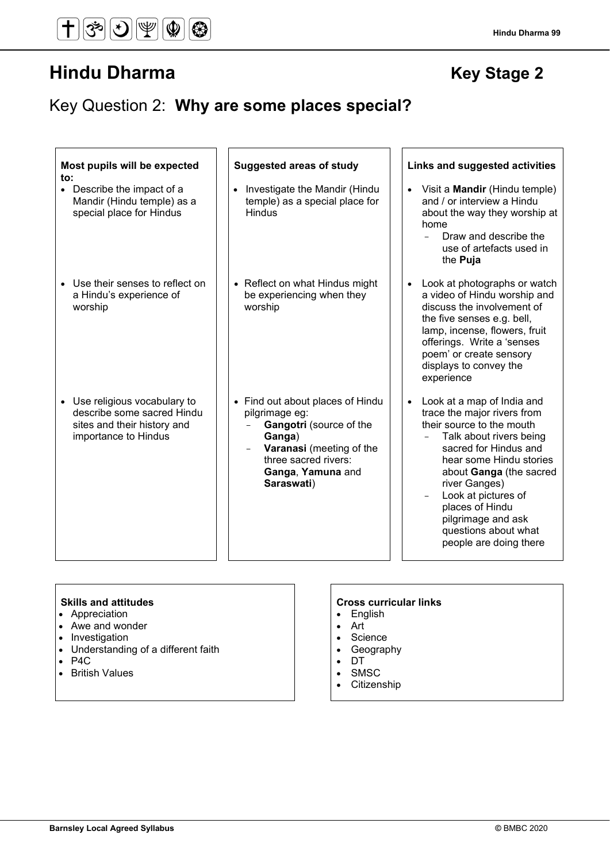# Key Question 2: **Why are some places special?**

| Most pupils will be expected<br>to:                                                                                | <b>Suggested areas of study</b>                                                                                                                                                | Links and suggested activities                                                                                                                                                                                                                                                                                                      |
|--------------------------------------------------------------------------------------------------------------------|--------------------------------------------------------------------------------------------------------------------------------------------------------------------------------|-------------------------------------------------------------------------------------------------------------------------------------------------------------------------------------------------------------------------------------------------------------------------------------------------------------------------------------|
| • Describe the impact of a<br>Mandir (Hindu temple) as a<br>special place for Hindus                               | Investigate the Mandir (Hindu<br>temple) as a special place for<br><b>Hindus</b>                                                                                               | Visit a <b>Mandir</b> (Hindu temple)<br>and / or interview a Hindu<br>about the way they worship at<br>home<br>Draw and describe the<br>use of artefacts used in<br>the Puja                                                                                                                                                        |
| • Use their senses to reflect on<br>a Hindu's experience of<br>worship                                             | • Reflect on what Hindus might<br>be experiencing when they<br>worship                                                                                                         | Look at photographs or watch<br>a video of Hindu worship and<br>discuss the involvement of<br>the five senses e.g. bell,<br>lamp, incense, flowers, fruit<br>offerings. Write a 'senses<br>poem' or create sensory<br>displays to convey the<br>experience                                                                          |
| • Use religious vocabulary to<br>describe some sacred Hindu<br>sites and their history and<br>importance to Hindus | • Find out about places of Hindu<br>pilgrimage eg:<br>Gangotri (source of the<br>Ganga)<br>Varanasi (meeting of the<br>three sacred rivers:<br>Ganga, Yamuna and<br>Saraswati) | Look at a map of India and<br>trace the major rivers from<br>their source to the mouth<br>Talk about rivers being<br>sacred for Hindus and<br>hear some Hindu stories<br>about Ganga (the sacred<br>river Ganges)<br>Look at pictures of<br>places of Hindu<br>pilgrimage and ask<br>questions about what<br>people are doing there |

- Appreciation
- Awe and wonder
- Investigation
- Understanding of a different faith
- P4C
- British Values

- English
- Art
- Science
- Geography
- DT
- SMSC
- Citizenship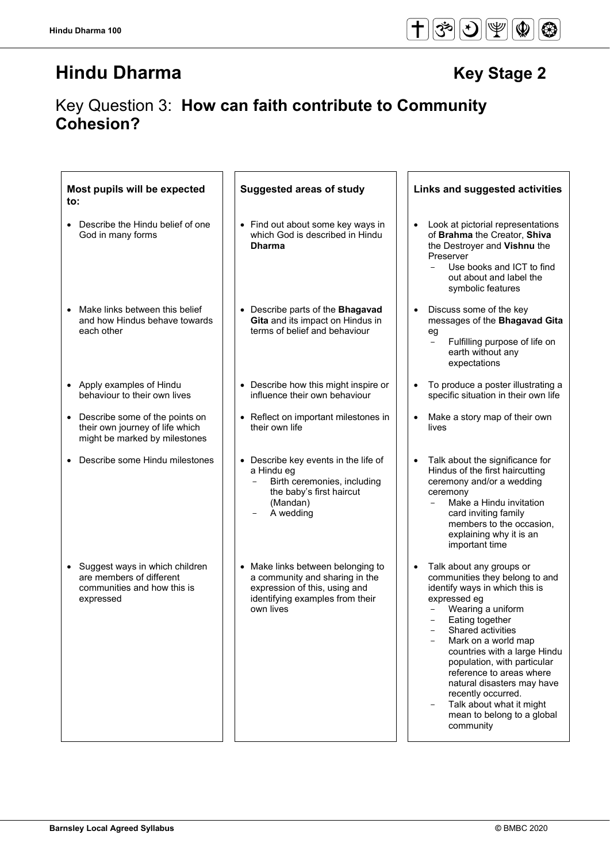# Key Question 3: **How can faith contribute to Community Cohesion?**

| Most pupils will be expected<br>to:                                                                             | <b>Suggested areas of study</b>                                                                                                                      | Links and suggested activities                                                                                                                                                                                                                                                                                                                                                                                                      |
|-----------------------------------------------------------------------------------------------------------------|------------------------------------------------------------------------------------------------------------------------------------------------------|-------------------------------------------------------------------------------------------------------------------------------------------------------------------------------------------------------------------------------------------------------------------------------------------------------------------------------------------------------------------------------------------------------------------------------------|
| Describe the Hindu belief of one<br>God in many forms                                                           | • Find out about some key ways in<br>which God is described in Hindu<br><b>Dharma</b>                                                                | Look at pictorial representations<br>$\bullet$<br>of Brahma the Creator, Shiva<br>the Destroyer and Vishnu the<br>Preserver<br>Use books and ICT to find<br>$\equiv$<br>out about and label the<br>symbolic features                                                                                                                                                                                                                |
| Make links between this belief<br>$\bullet$<br>and how Hindus behave towards<br>each other                      | • Describe parts of the Bhagavad<br>Gita and its impact on Hindus in<br>terms of belief and behaviour                                                | Discuss some of the key<br>$\bullet$<br>messages of the Bhagavad Gita<br>eg<br>Fulfilling purpose of life on<br>$\overline{\phantom{0}}$<br>earth without any<br>expectations                                                                                                                                                                                                                                                       |
| • Apply examples of Hindu<br>behaviour to their own lives                                                       | • Describe how this might inspire or<br>influence their own behaviour                                                                                | To produce a poster illustrating a<br>$\bullet$<br>specific situation in their own life                                                                                                                                                                                                                                                                                                                                             |
| Describe some of the points on<br>$\bullet$<br>their own journey of life which<br>might be marked by milestones | Reflect on important milestones in<br>their own life                                                                                                 | Make a story map of their own<br>$\bullet$<br>lives                                                                                                                                                                                                                                                                                                                                                                                 |
| Describe some Hindu milestones                                                                                  | Describe key events in the life of<br>a Hindu eg<br>Birth ceremonies, including<br>the baby's first haircut<br>(Mandan)<br>A wedding                 | Talk about the significance for<br>$\bullet$<br>Hindus of the first haircutting<br>ceremony and/or a wedding<br>ceremony<br>Make a Hindu invitation<br>card inviting family<br>members to the occasion,<br>explaining why it is an<br>important time                                                                                                                                                                                |
| • Suggest ways in which children<br>are members of different<br>communities and how this is<br>expressed        | • Make links between belonging to<br>a community and sharing in the<br>expression of this, using and<br>identifying examples from their<br>own lives | Talk about any groups or<br>$\bullet$<br>communities they belong to and<br>identify ways in which this is<br>expressed eg<br>Wearing a uniform<br>Eating together<br>Shared activities<br>Mark on a world map<br>countries with a large Hindu<br>population, with particular<br>reference to areas where<br>natural disasters may have<br>recently occurred.<br>Talk about what it might<br>mean to belong to a global<br>community |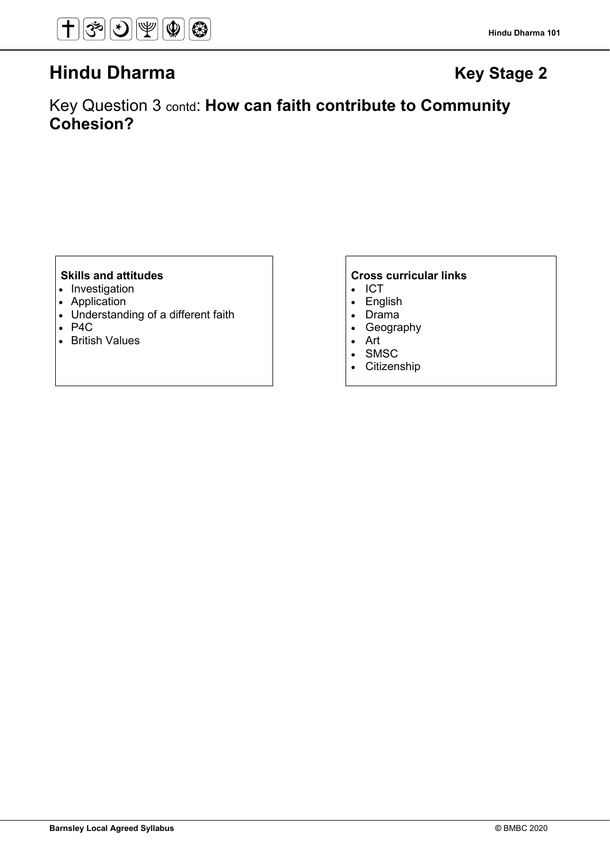Key Question 3 contd: **How can faith contribute to Community Cohesion?**

- Investigation
- Application
- Understanding of a different faith
- P4C
- British Values

- ICT
- English
- Drama
- Geography
- Art
- SMSC
- Citizenship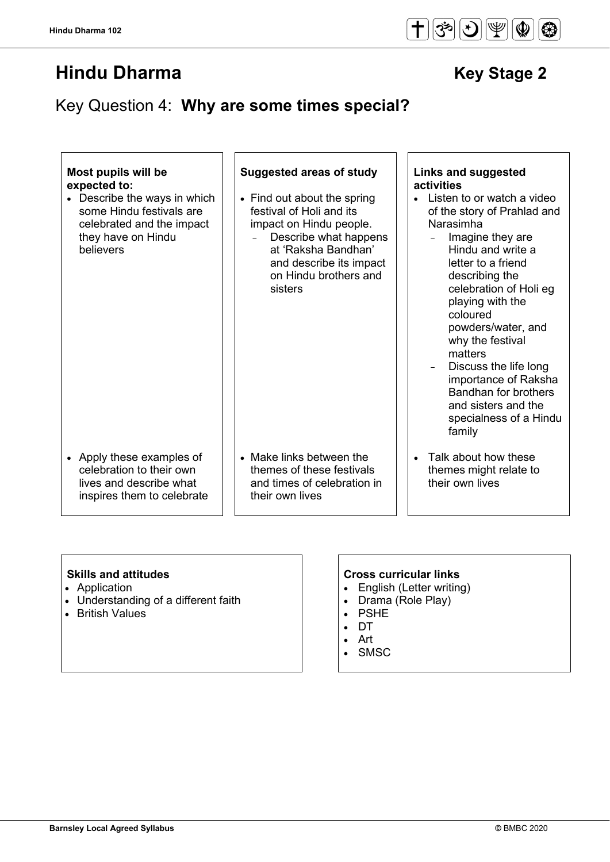# Key Question 4: **Why are some times special?**

# **Most pupils will be expected to:**

• Describe the ways in which some Hindu festivals are celebrated and the impact they have on Hindu believers

- Find out about the spring festival of Holi and its impact on Hindu people.
	- Describe what happens at 'Raksha Bandhan' and describe its impact on Hindu brothers and sisters

- Apply these examples of celebration to their own lives and describe what inspires them to celebrate
- Make links between the themes of these festivals and times of celebration in their own lives

# **Suggested areas of study Links and suggested activities**

- Listen to or watch a video of the story of Prahlad and Narasimha
	- $-$  Imagine they are Hindu and write a letter to a friend describing the celebration of Holi eg playing with the coloured powders/water, and why the festival matters
	- Discuss the life long importance of Raksha Bandhan for brothers and sisters and the specialness of a Hindu family
- Talk about how these themes might relate to their own lives

- Application
- Understanding of a different faith
- British Values

- English (Letter writing)
- Drama (Role Play)
- PSHE
- DT
- Art
- **SMSC**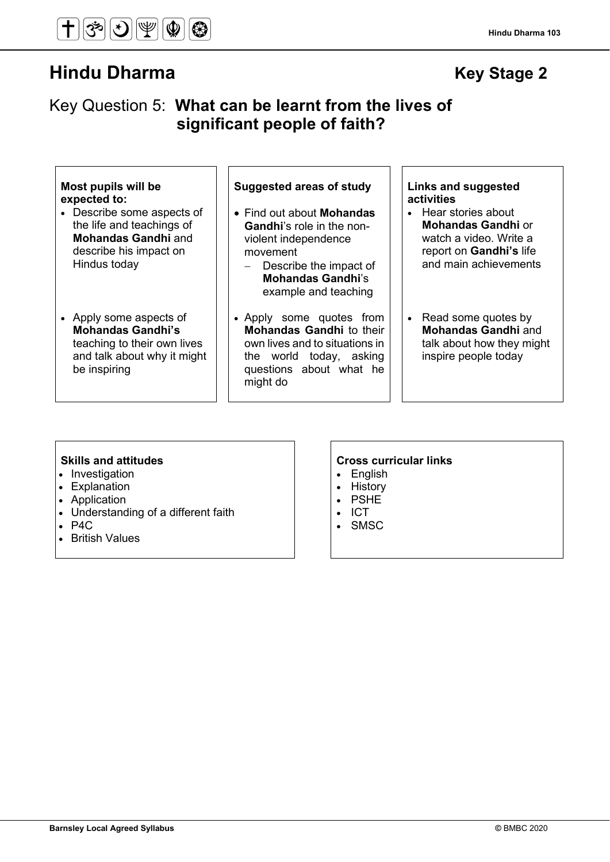

# Key Question 5: **What can be learnt from the lives of significant people of faith?**

| Most pupils will be |  |  |
|---------------------|--|--|
| expected to:        |  |  |

- Describe some aspects of the life and teachings of **Mohandas Gandhi** and describe his impact on Hindus today
- Apply some aspects of **Mohandas Gandhi's** teaching to their own lives and talk about why it might be inspiring

# **Suggested areas of study Links and suggested**

- Find out about **Mohandas Gandhi**'s role in the nonviolent independence movement
	- Describe the impact of **Mohandas Gandhi**'s example and teaching
- Apply some quotes from **Mohandas Gandhi** to their own lives and to situations in the world today, asking questions about what he might do

# **activities**

- Hear stories about **Mohandas Gandhi** or watch a video. Write a report on **Gandhi's** life and main achievements
- Read some quotes by **Mohandas Gandhi** and talk about how they might inspire people today

- Investigation
- Explanation
- Application
- Understanding of a different faith
- P4C
- British Values

- English
- History
- PSHE
- ICT
- **SMSC**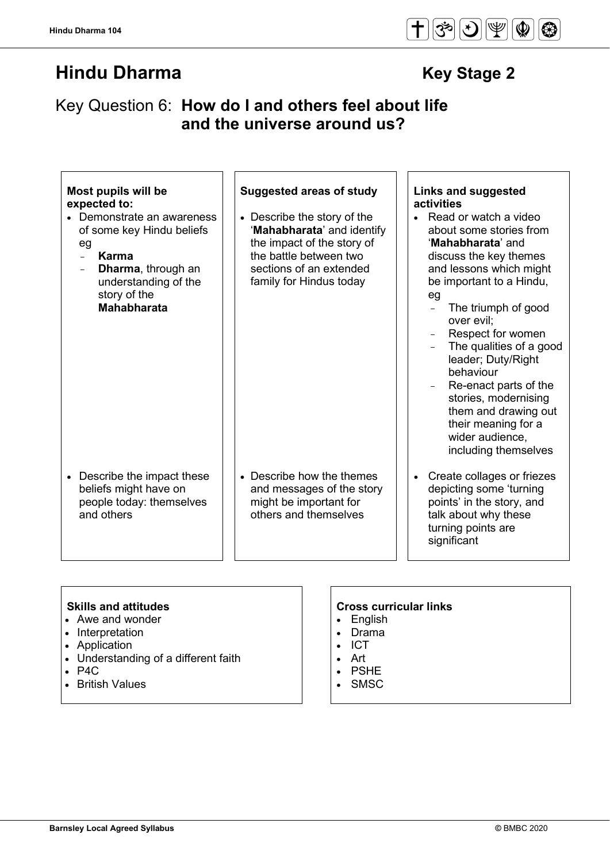# Key Question 6: **How do I and others feel about life and the universe around us?**

| Most pupils will be<br>expected to:<br>• Demonstrate an awareness<br>of some key Hindu beliefs<br>eg<br>Karma<br>$\equiv$<br>Dharma, through an<br>understanding of the<br>story of the<br><b>Mahabharata</b> | <b>Suggested areas of study</b><br>• Describe the story of the<br>'Mahabharata' and identify<br>the impact of the story of<br>the battle between two<br>sections of an extended<br>family for Hindus today | <b>Links and suggested</b><br>activities<br>Read or watch a video<br>about some stories from<br>'Mahabharata' and<br>discuss the key themes<br>and lessons which might<br>be important to a Hindu,<br>eg<br>The triumph of good<br>$\overline{a}$<br>over evil;<br>Respect for women<br>The qualities of a good<br>leader; Duty/Right<br>behaviour<br>Re-enact parts of the<br>stories, modernising<br>them and drawing out<br>their meaning for a<br>wider audience, |
|---------------------------------------------------------------------------------------------------------------------------------------------------------------------------------------------------------------|------------------------------------------------------------------------------------------------------------------------------------------------------------------------------------------------------------|-----------------------------------------------------------------------------------------------------------------------------------------------------------------------------------------------------------------------------------------------------------------------------------------------------------------------------------------------------------------------------------------------------------------------------------------------------------------------|
| Describe the impact these<br>$\bullet$<br>beliefs might have on<br>people today: themselves<br>and others                                                                                                     | • Describe how the themes<br>and messages of the story<br>might be important for<br>others and themselves                                                                                                  | including themselves<br>Create collages or friezes<br>$\bullet$<br>depicting some 'turning<br>points' in the story, and<br>talk about why these<br>turning points are<br>significant                                                                                                                                                                                                                                                                                  |

- Awe and wonder
- Interpretation
- Application
- Understanding of a different faith
- P4C
- British Values

- English
- Drama
- ICT
- Art
- PSHE
- SMSC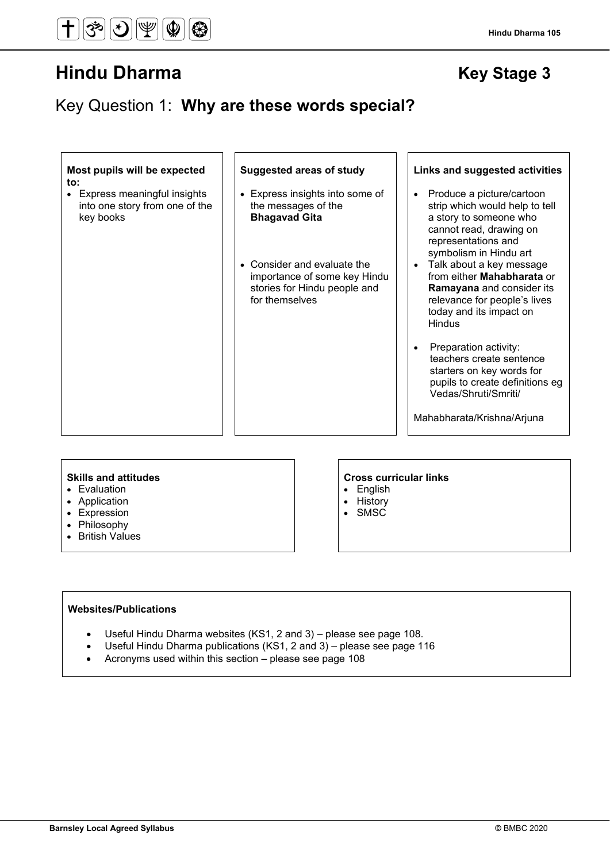Key Question 1: **Why are these words special?**

### **Most pupils will be expected to:**

• Express meaningful insights into one story from one of the key books

- Express insights into some of the messages of the **Bhagavad Gita**
- Consider and evaluate the importance of some key Hindu stories for Hindu people and for themselves

## **Suggested areas of study Links and suggested activities**

- Produce a picture/cartoon strip which would help to tell a story to someone who cannot read, drawing on representations and symbolism in Hindu art
- Talk about a key message from either **Mahabharata** or **Ramayana** and consider its relevance for people's lives today and its impact on **Hindus**
- Preparation activity: teachers create sentence starters on key words for pupils to create definitions eg Vedas/Shruti/Smriti/

Mahabharata/Krishna/Arjuna

- Evaluation
- Application
- Expression
- Philosophy
- British Values

# **Skills and attitudes Cross curricular links**

- English
- **History**
- SMSC

## **Websites/Publications**

- Useful Hindu Dharma websites (KS1, 2 and 3) please see page 108.
- Useful Hindu Dharma publications (KS1, 2 and 3) please see page 116
- Acronyms used within this section please see page 108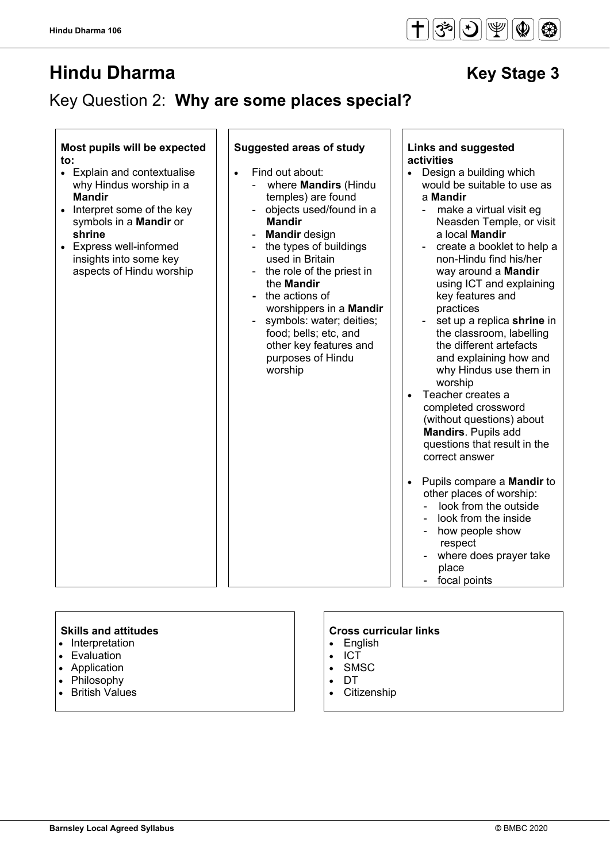**Hindu Dharma 106**

# **Hindu Dharma** Key Stage 3

# Key Question 2: **Why are some places special?**

# **Most pupils will be expected to:**

- Explain and contextualise why Hindus worship in a **Mandir**
- Interpret some of the key symbols in a **Mandir** or **shrine**
- Express well-informed insights into some key aspects of Hindu worship

# **Suggested areas of study Links and suggested**

- Find out about:
	- where **Mandirs** (Hindu temples) are found
	- objects used/found in a **Mandir**
	- **Mandir** design
	- the types of buildings used in Britain
	- the role of the priest in the **Mandir**
	- the actions of worshippers in a **Mandir**
	- symbols: water; deities; food; bells; etc, and other key features and purposes of Hindu worship

# **activities**

- Design a building which would be suitable to use as a **Mandir**
	- make a virtual visit eg Neasden Temple, or visit a local **Mandir**
	- create a booklet to help a non-Hindu find his/her way around a **Mandir** using ICT and explaining key features and practices
	- set up a replica **shrine** in the classroom, labelling the different artefacts and explaining how and why Hindus use them in worship
- Teacher creates a completed crossword (without questions) about **Mandirs**. Pupils add questions that result in the correct answer
- Pupils compare a **Mandir** to other places of worship:
	- look from the outside
	- look from the inside
	- how people show respect
	- where does prayer take
	- place
	- focal points

- Interpretation
- Evaluation
- Application
- Philosophy
- British Values

- English
- ICT
- SMSC
- DT
- **Citizenship**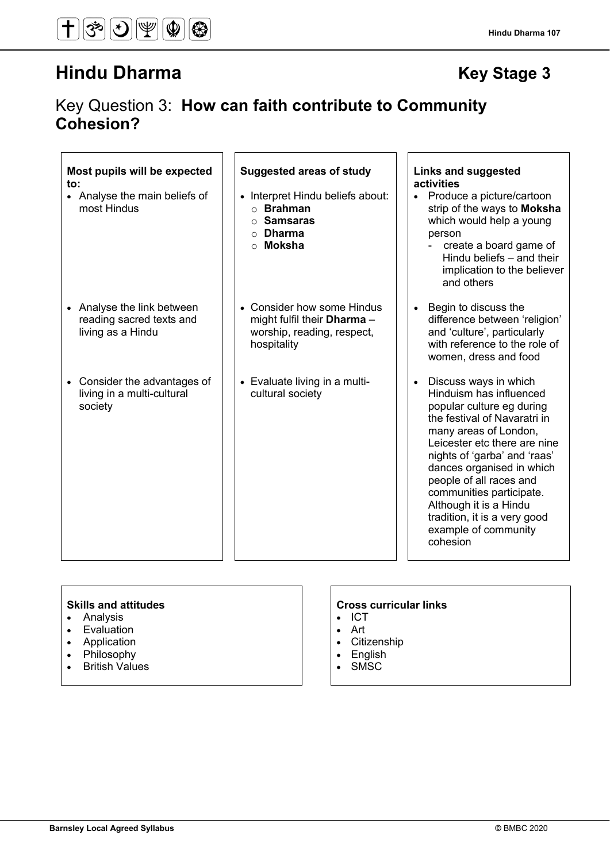# Key Question 3: **How can faith contribute to Community Cohesion?**

# **Most pupils will be expected to:**

• Analyse the main beliefs of most Hindus

- Analyse the link between reading sacred texts and living as a Hindu
- Consider the advantages of living in a multi-cultural society

# **Suggested areas of study Links and suggested**

- Interpret Hindu beliefs about: o **Brahman**
	- o **Samsaras**
	- o **Dharma**
	- o **Moksha**
- Consider how some Hindus might fulfil their **Dharma** – worship, reading, respect, hospitality
- Evaluate living in a multicultural society

# **activities**

- Produce a picture/cartoon strip of the ways to **Moksha** which would help a young person
	- create a board game of Hindu beliefs – and their implication to the believer and others
- Begin to discuss the difference between 'religion' and 'culture', particularly with reference to the role of women, dress and food
- Discuss ways in which Hinduism has influenced popular culture eg during the festival of Navaratri in many areas of London, Leicester etc there are nine nights of 'garba' and 'raas' dances organised in which people of all races and communities participate. Although it is a Hindu tradition, it is a very good example of community cohesion

- Analysis
- Evaluation
- Application
- **Philosophy**
- British Values

- ICT
- Art
- Citizenship
- English
- SMSC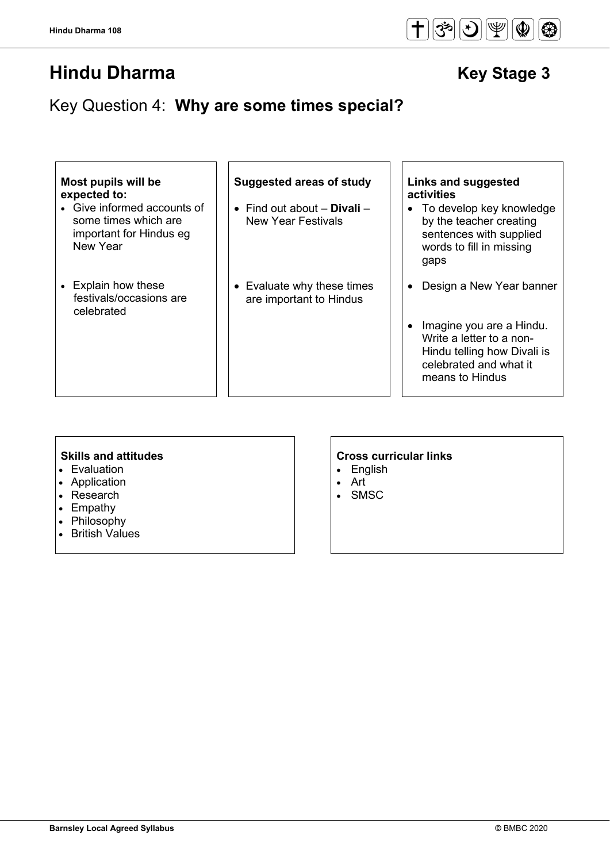# Key Question 4: **Why are some times special?**

| Most pupils will be<br>expected to:<br>• Give informed accounts of<br>some times which are<br>important for Hindus eg<br>New Year | Suggested areas of study<br>• Find out about $-$ Divali $-$<br><b>New Year Festivals</b> | Links and suggested<br><b>activities</b><br>• To develop key knowledge<br>by the teacher creating<br>sentences with supplied<br>words to fill in missing<br>gaps |
|-----------------------------------------------------------------------------------------------------------------------------------|------------------------------------------------------------------------------------------|------------------------------------------------------------------------------------------------------------------------------------------------------------------|
| • Explain how these<br>festivals/occasions are<br>celebrated                                                                      | • Evaluate why these times<br>are important to Hindus                                    | Design a New Year banner<br>Imagine you are a Hindu.<br>Write a letter to a non-<br>Hindu telling how Divali is<br>celebrated and what it<br>means to Hindus     |

- Evaluation
- Application
- Research
- Empathy
- Philosophy
- British Values

# **Skills and attitudes CRS CRS CRS CRS CRS CRS CRS CRS CRS CRS CRS CRS CRS CRS CRS CRS CRS CRS CRS CRS CRS CRS CRS CRS CRS CRS CRS CRS CRS CRS CRS CRS CRS**

- English
- Art
- **SMSC**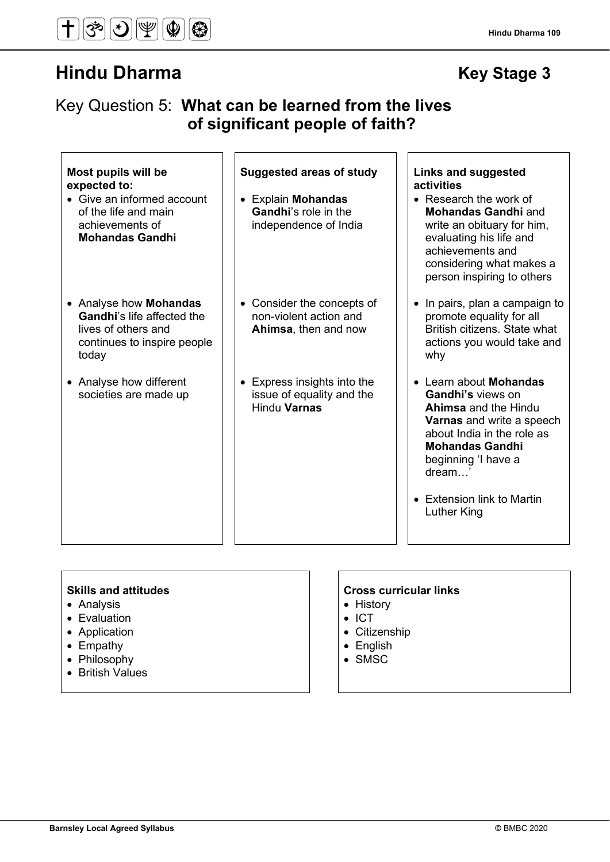**Hindu Dharma 109**

# Key Question 5: **What can be learned from the lives of significant people of faith?**

| Most pupils will be<br>expected to:<br>• Give an informed account<br>of the life and main<br>achievements of<br><b>Mohandas Gandhi</b> | <b>Suggested areas of study</b><br>• Explain Mohandas<br><b>Gandhi's role in the</b><br>independence of India | Links and suggested<br>activities<br>• Research the work of<br><b>Mohandas Gandhi</b> and<br>write an obituary for him,<br>evaluating his life and<br>achievements and<br>considering what makes a<br>person inspiring to others                             |
|----------------------------------------------------------------------------------------------------------------------------------------|---------------------------------------------------------------------------------------------------------------|--------------------------------------------------------------------------------------------------------------------------------------------------------------------------------------------------------------------------------------------------------------|
| • Analyse how <b>Mohandas</b><br><b>Gandhi's life affected the</b><br>lives of others and<br>continues to inspire people<br>today      | • Consider the concepts of<br>non-violent action and<br>Ahimsa, then and now                                  | • In pairs, plan a campaign to<br>promote equality for all<br>British citizens. State what<br>actions you would take and<br>why                                                                                                                              |
| • Analyse how different<br>societies are made up                                                                                       | Express insights into the<br>$\bullet$<br>issue of equality and the<br><b>Hindu Varnas</b>                    | • Learn about Mohandas<br><b>Gandhi's views on</b><br><b>Ahimsa</b> and the Hindu<br><b>Varnas</b> and write a speech<br>about India in the role as<br><b>Mohandas Gandhi</b><br>beginning 'I have a<br>dream '<br>• Extension link to Martin<br>Luther King |

- Analysis
- Evaluation
- Application
- Empathy
- Philosophy
- British Values

- History
- ICT
- Citizenship
- English
- SMSC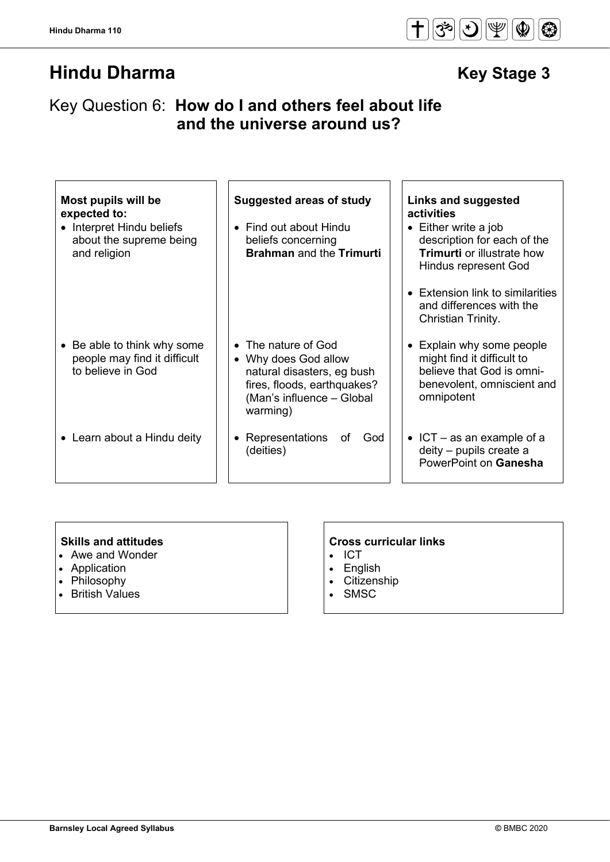# Key Question 6: **How do I and others feel about life and the universe around us?**

| Most pupils will be<br>expected to:<br>• Interpret Hindu beliefs<br>about the supreme being<br>and religion | <b>Suggested areas of study</b><br>• Find out about Hindu<br>beliefs concerning<br><b>Brahman</b> and the Trimurti                                | Links and suggested<br>activities<br>$\bullet$ Either write a job<br>description for each of the<br><b>Trimurti</b> or illustrate how<br><b>Hindus represent God</b><br>• Extension link to similarities<br>and differences with the<br>Christian Trinity. |
|-------------------------------------------------------------------------------------------------------------|---------------------------------------------------------------------------------------------------------------------------------------------------|------------------------------------------------------------------------------------------------------------------------------------------------------------------------------------------------------------------------------------------------------------|
| • Be able to think why some<br>people may find it difficult<br>to believe in God                            | • The nature of God<br>• Why does God allow<br>natural disasters, eg bush<br>fires, floods, earthquakes?<br>(Man's influence - Global<br>warming) | • Explain why some people<br>might find it difficult to<br>believe that God is omni-<br>benevolent, omniscient and<br>omnipotent                                                                                                                           |
| • Learn about a Hindu deity                                                                                 | Representations<br>of<br>God<br>٠<br>(deities)                                                                                                    | $\bullet$ ICT – as an example of a<br>deity - pupils create a<br>PowerPoint on Ganesha                                                                                                                                                                     |

- Awe and Wonder
- Application
- Philosophy
- British Values

# **Skills and attitudes**<br>
• Awe and Wonder **CROSS e** Cross curricular links **Awe and Wonder**

- ICT
- English
- Citizenship
- SMSC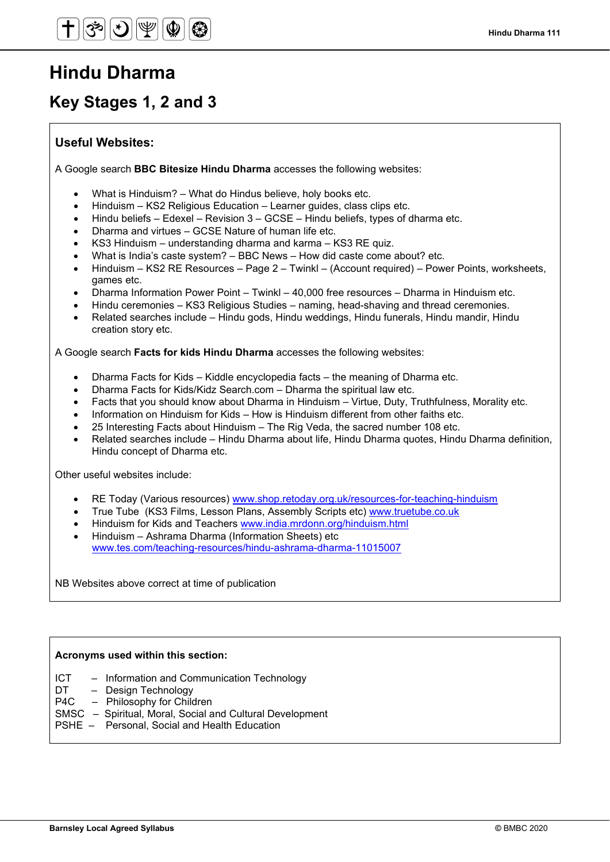# **Hindu Dharma**

# **Key Stages 1, 2 and 3**

# **Useful Websites:**

A Google search **BBC Bitesize Hindu Dharma** accesses the following websites:

- What is Hinduism? What do Hindus believe, holy books etc.
- Hinduism KS2 Religious Education Learner guides, class clips etc.
- Hindu beliefs Edexel Revision 3 GCSE Hindu beliefs, types of dharma etc.
- Dharma and virtues GCSE Nature of human life etc.
- KS3 Hinduism understanding dharma and karma KS3 RE quiz.
- What is India's caste system? BBC News How did caste come about? etc.
- Hinduism KS2 RE Resources Page 2 Twinkl (Account required) Power Points, worksheets, games etc.
- Dharma Information Power Point Twinkl 40,000 free resources Dharma in Hinduism etc.
- Hindu ceremonies KS3 Religious Studies naming, head-shaving and thread ceremonies.
- Related searches include Hindu gods, Hindu weddings, Hindu funerals, Hindu mandir, Hindu creation story etc.

A Google search **Facts for kids Hindu Dharma** accesses the following websites:

- Dharma Facts for Kids Kiddle encyclopedia facts the meaning of Dharma etc.
- Dharma Facts for Kids/Kidz Search.com Dharma the spiritual law etc.
- Facts that you should know about Dharma in Hinduism Virtue, Duty, Truthfulness, Morality etc.
- Information on Hinduism for Kids How is Hinduism different from other faiths etc.
- 25 Interesting Facts about Hinduism The Rig Veda, the sacred number 108 etc.
- Related searches include Hindu Dharma about life, Hindu Dharma quotes, Hindu Dharma definition, Hindu concept of Dharma etc.

Other useful websites include:

- RE Today (Various resources) [www.shop.retoday.org.uk/resources-for-teaching-hinduism](http://www.shop.retoday.org.uk/resources-for-teaching-hinduism)
- True Tube (KS3 Films, Lesson Plans, Assembly Scripts etc) [www.truetube.co.uk](http://www.truetube.co.uk/)
- Hinduism for Kids and Teachers [www.india.mrdonn.org/hinduism.html](http://www.india.mrdonn.org/hinduism.html)
- Hinduism Ashrama Dharma (Information Sheets) etc [www.tes.com/teaching-resources/hindu-ashrama-dharma-11015007](http://www.tes.com/teaching-resources/hindu-ashrama-dharma-11015007)

NB Websites above correct at time of publication

# **Acronyms used within this section:**

- ICT Information and Communication Technology
- DT Design Technology<br>P4C Philosophy for Chile
- $-$  Philosophy for Children
- SMSC Spiritual, Moral, Social and Cultural Development
- PSHE Personal, Social and Health Education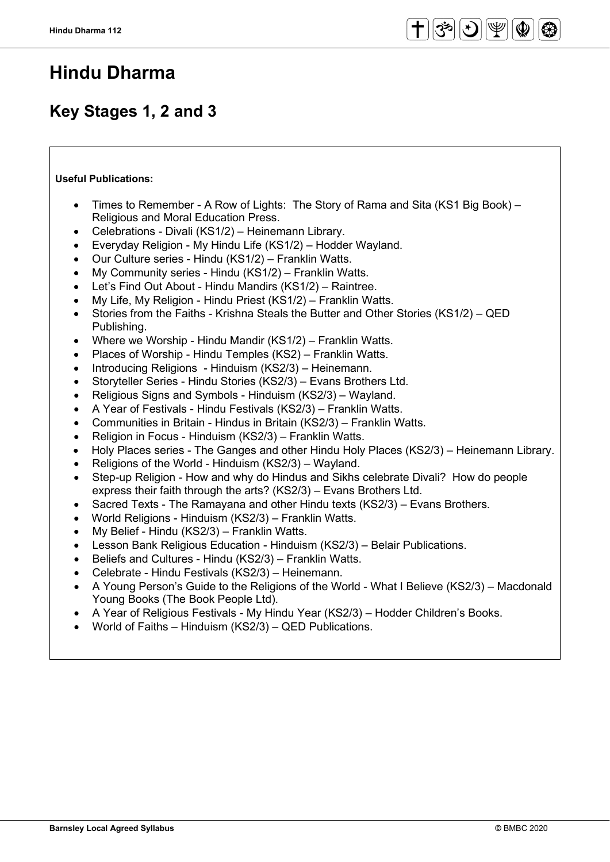# **Hindu Dharma**

# **Key Stages 1, 2 and 3**

# **Useful Publications:**

- Times to Remember A Row of Lights: The Story of Rama and Sita (KS1 Big Book) Religious and Moral Education Press.
- Celebrations Divali (KS1/2) Heinemann Library.
- Everyday Religion My Hindu Life (KS1/2) Hodder Wayland.
- Our Culture series Hindu (KS1/2) Franklin Watts.
- My Community series Hindu (KS1/2) Franklin Watts.
- Let's Find Out About Hindu Mandirs (KS1/2) Raintree.
- My Life, My Religion Hindu Priest (KS1/2) Franklin Watts.
- Stories from the Faiths Krishna Steals the Butter and Other Stories (KS1/2) QED Publishing.
- Where we Worship Hindu Mandir (KS1/2) Franklin Watts.
- Places of Worship Hindu Temples (KS2) Franklin Watts.
- Introducing Religions Hinduism (KS2/3) Heinemann.
- Storyteller Series Hindu Stories (KS2/3) Evans Brothers Ltd.
- Religious Signs and Symbols Hinduism (KS2/3) Wayland.
- A Year of Festivals Hindu Festivals (KS2/3) Franklin Watts.
- Communities in Britain Hindus in Britain (KS2/3) Franklin Watts.
- Religion in Focus Hinduism (KS2/3) Franklin Watts.
- Holy Places series The Ganges and other Hindu Holy Places (KS2/3) Heinemann Library.
- Religions of the World Hinduism (KS2/3) Wayland.
- Step-up Religion How and why do Hindus and Sikhs celebrate Divali? How do people express their faith through the arts? (KS2/3) – Evans Brothers Ltd.
- Sacred Texts The Ramayana and other Hindu texts (KS2/3) Evans Brothers.
- World Religions Hinduism (KS2/3) Franklin Watts.
- My Belief Hindu (KS2/3) Franklin Watts.
- Lesson Bank Religious Education Hinduism (KS2/3) Belair Publications.
- Beliefs and Cultures Hindu (KS2/3) Franklin Watts.
- Celebrate Hindu Festivals (KS2/3) Heinemann.
- A Young Person's Guide to the Religions of the World What I Believe (KS2/3) Macdonald Young Books (The Book People Ltd).
- A Year of Religious Festivals My Hindu Year (KS2/3) Hodder Children's Books.
- World of Faiths Hinduism (KS2/3) QED Publications.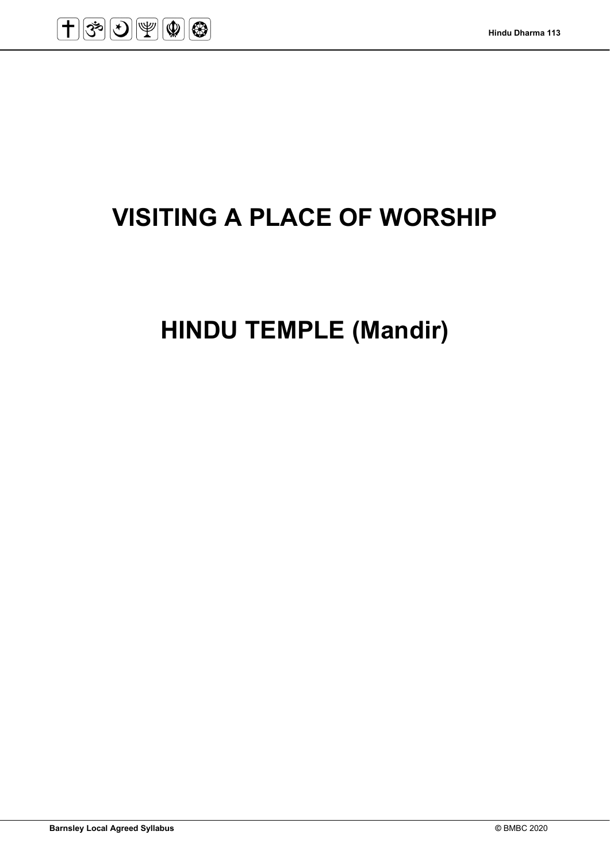

# **VISITING A PLACE OF WORSHIP**

**HINDU TEMPLE (Mandir)**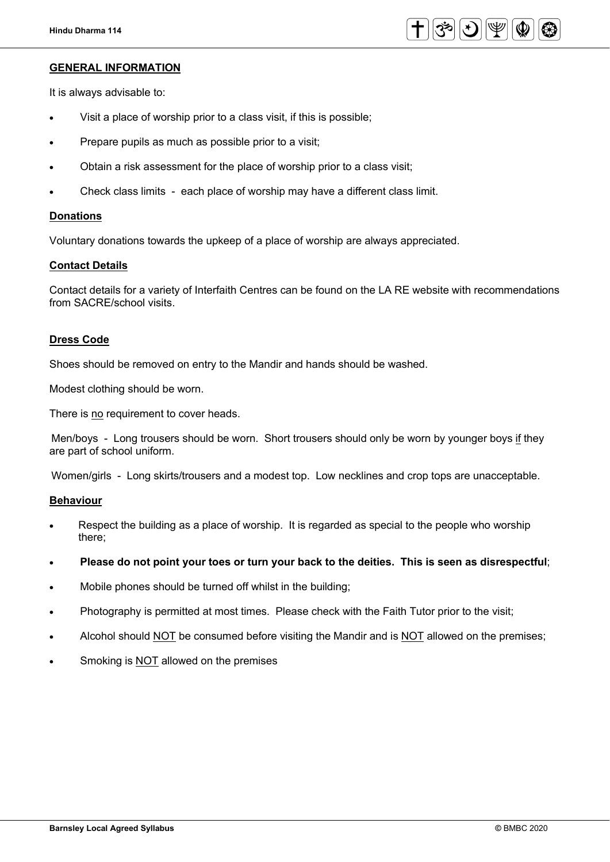

# **GENERAL INFORMATION**

It is always advisable to:

- Visit a place of worship prior to a class visit, if this is possible;
- Prepare pupils as much as possible prior to a visit;
- Obtain a risk assessment for the place of worship prior to a class visit;
- Check class limits each place of worship may have a different class limit.

## **Donations**

Voluntary donations towards the upkeep of a place of worship are always appreciated.

# **Contact Details**

Contact details for a variety of Interfaith Centres can be found on the LA RE website with recommendations from SACRE/school visits.

# **Dress Code**

Shoes should be removed on entry to the Mandir and hands should be washed.

Modest clothing should be worn.

There is no requirement to cover heads.

Men/boys - Long trousers should be worn. Short trousers should only be worn by younger boys if they are part of school uniform.

Women/girls - Long skirts/trousers and a modest top. Low necklines and crop tops are unacceptable.

## **Behaviour**

- Respect the building as a place of worship. It is regarded as special to the people who worship there;
- **Please do not point your toes or turn your back to the deities. This is seen as disrespectful**;
- Mobile phones should be turned off whilst in the building;
- Photography is permitted at most times. Please check with the Faith Tutor prior to the visit;
- Alcohol should NOT be consumed before visiting the Mandir and is NOT allowed on the premises;
- Smoking is NOT allowed on the premises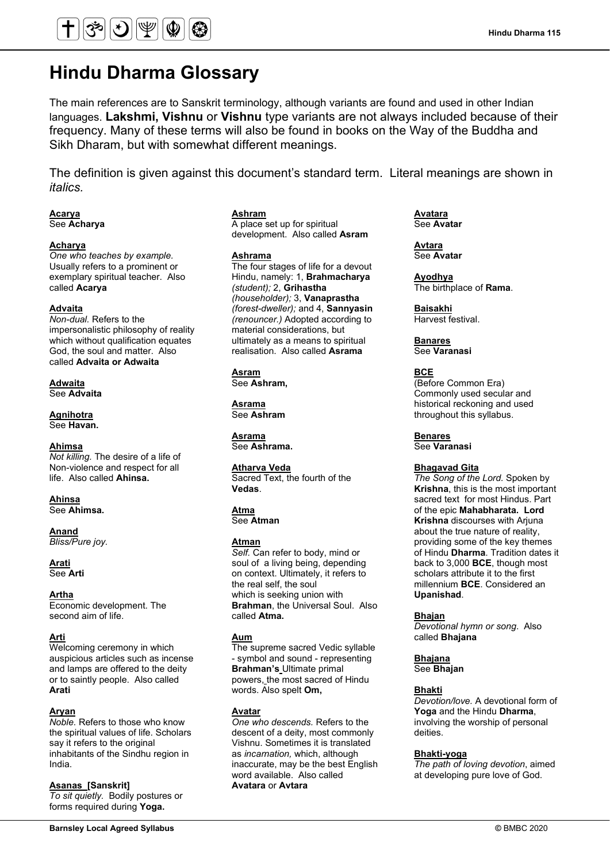

# **Hindu Dharma Glossary**

The main references are to Sanskrit terminology, although variants are found and used in other Indian languages. **Lakshmi, Vishnu** or **Vishnu** type variants are not always included because of their frequency. Many of these terms will also be found in books on the Way of the Buddha and Sikh Dharam, but with somewhat different meanings.

The definition is given against this document's standard term. Literal meanings are shown in *italics.*

# **Acarya**

See **Acharya**

## **Acharya**

*One who teaches by example.*  Usually refers to a prominent or exemplary spiritual teacher. Also called **Acarya**

## **Advaita**

*Non-dual.* Refers to the impersonalistic philosophy of reality which without qualification equates God, the soul and matter. Also called **Advaita or Adwaita**

**Adwaita**  See **Advaita**

**Agnihotra** See **Havan.**

**Ahimsa** *Not killing.* The desire of a life of Non-violence and respect for all life. Also called **Ahinsa.**

# **Ahinsa**

See **Ahimsa.**

# **Anand**

*Bliss/Pure joy.*

**Arati**  See **Arti**

**Artha**

Economic development. The second aim of life.

#### **Arti**

Welcoming ceremony in which auspicious articles such as incense and lamps are offered to the deity or to saintly people. Also called **Arati**

### **Aryan**

*Noble.* Refers to those who know the spiritual values of life. Scholars say it refers to the original inhabitants of the Sindhu region in India.

**Asanas [Sanskrit]** 

*To sit quietly.* Bodily postures or forms required during **Yoga.**

# **Ashram**

A place set up for spiritual development. Also called **Asram**

### **Ashrama**

The four stages of life for a devout Hindu, namely: 1, **Brahmacharya**  *(student);* 2, **Grihastha** *(householder);* 3, **Vanaprastha**  *(forest-dweller);* and 4, **Sannyasin**  *(renouncer.)* Adopted according to material considerations, but ultimately as a means to spiritual realisation. Also called **Asrama**

**Asram** See **Ashram,**

**Asrama** See **Ashram**

**Asrama** See **Ashrama.**

**Atharva Veda**

Sacred Text, the fourth of the **Vedas**.

# **Atma**

See **Atman**

### **Atman**

*Self.* Can refer to body, mind or soul of a living being, depending on context. Ultimately, it refers to the real self, the soul which is seeking union with **Brahman**, the Universal Soul. Also called **Atma.**

### **Aum**

The supreme sacred Vedic syllable - symbol and sound - representing **Brahman's** Ultimate primal powers, the most sacred of Hindu words. Also spelt **Om,**

#### **Avatar**

*One who descends.* Refers to the descent of a deity, most commonly Vishnu. Sometimes it is translated as *incarnation,* which, although inaccurate, may be the best English word available. Also called **Avatara** or **Avtara**

**Avatara** See **Avatar**

**Avtara** See **Avatar**

**Ayodhya** The birthplace of **Rama**.

**Baisakhi** Harvest festival.

**Banares** See **Varanasi**

**BCE**

(Before Common Era) Commonly used secular and historical reckoning and used throughout this syllabus.

**Benares** See **Varanasi**

#### **Bhagavad Gita**

*The Song of the Lord.* Spoken by **Krishna**, this is the most important sacred text for most Hindus. Part of the epic **Mahabharata. Lord Krishna** discourses with Arjuna about the true nature of reality, providing some of the key themes of Hindu **Dharma**. Tradition dates it back to 3,000 **BCE**, though most scholars attribute it to the first millennium **BCE**. Considered an **Upanishad**.

#### **Bhajan**

*Devotional hymn or song*. Also called **Bhajana**

## **Bhajana**

See **Bhajan**

### **Bhakti**

*Devotion/love.* A devotional form of **Yoga** and the Hindu **Dharma**, involving the worship of personal deities.

#### **Bhakti-yoga**

*The path of loving devotion*, aimed at developing pure love of God.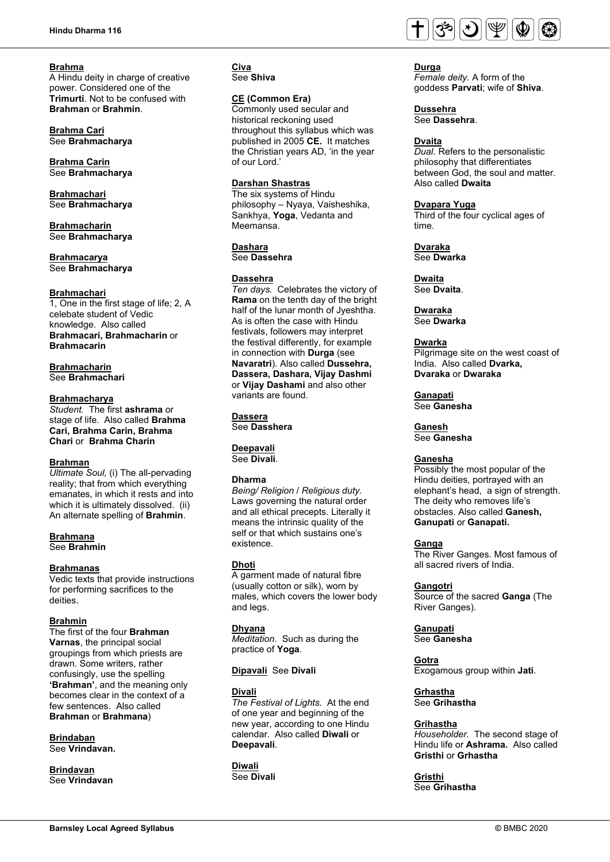### **Brahma**

A Hindu deity in charge of creative power. Considered one of the **Trimurti**. Not to be confused with **Brahman** or **Brahmin**.

**Brahma Cari** See **Brahmacharya**

**Brahma Carin** See **Brahmacharya**

**Brahmachari** See **Brahmacharya**

**Brahmacharin** See **Brahmacharya**

**Brahmacarya** See **Brahmacharya**

#### **Brahmachari**

1, One in the first stage of life; 2, A celebate student of Vedic knowledge. Also called **Brahmacari, Brahmacharin** or **Brahmacarin**

**Brahmacharin** See **Brahmachari**

### **Brahmacharya**

*Student.* The first **ashrama** or stage of life. Also called **Brahma Cari, Brahma Carin, Brahma Chari** or **Brahma Charin**

#### **Brahman**

*Ultimate Soul,* (i) The all-pervading reality; that from which everything emanates, in which it rests and into which it is ultimately dissolved. (ii) An alternate spelling of **Brahmin**.

#### **Brahmana** See **Brahmin**

# **Brahmanas**

Vedic texts that provide instructions for performing sacrifices to the deities.

## **Brahmin**

The first of the four **Brahman Varnas**, the principal social groupings from which priests are drawn. Some writers, rather confusingly, use the spelling **'Brahman'**, and the meaning only becomes clear in the context of a few sentences. Also called **Brahman** or **Brahmana**)

**Brindaban** See **Vrindavan.**

**Brindavan** See **Vrindavan**

#### **Civa** See **Shiva**

**CE (Common Era)**

Commonly used secular and historical reckoning used throughout this syllabus which was published in 2005 **CE.** It matches the Christian years AD, 'in the year of our Lord.'

### **Darshan Shastras**

The six systems of Hindu philosophy – Nyaya, Vaisheshika, Sankhya, **Yoga**, Vedanta and Meemansa.

**Dashara**

See **Dassehra**

#### **Dassehra**

*Ten days.* Celebrates the victory of **Rama** on the tenth day of the bright half of the lunar month of Jyeshtha. As is often the case with Hindu festivals, followers may interpret the festival differently, for example in connection with **Durga** (see **Navaratri**). Also called **Dussehra, Dassera, Dashara, Vijay Dashmi**  or **Vijay Dashami** and also other variants are found.

#### **Dassera** See **Dasshera**

#### **Deepavali** See **Divali**.

### **Dharma**

*Being/ Religion* / *Religious duty.*  Laws governing the natural order and all ethical precepts. Literally it means the intrinsic quality of the self or that which sustains one's existence*.* 

### **Dhoti**

A garment made of natural fibre (usually cotton or silk), worn by males, which covers the lower body and legs.

### **Dhyana**

*Meditation*. Such as during the practice of **Yoga**.

#### **Dipavali** See **Divali**

### **Divali**

*The Festival of Lights.* At the end of one year and beginning of the new year, according to one Hindu calendar. Also called **Diwali** or **Deepavali**.

**Diwali** See **Divali**



### **Durga**

*Female deity.* A form of the goddess **Parvati**; wife of **Shiva**.

**Dussehra** See **Dassehra**.

### **Dvaita**

*Dual.* Refers to the personalistic philosophy that differentiates between God, the soul and matter. Also called **Dwaita**

#### **Dvapara Yuga**

Third of the four cyclical ages of time.

**Dvaraka** See **Dwarka**

**Dwaita** See **Dvaita**.

**Dwaraka** See **Dwarka**

#### **Dwarka**

Pilgrimage site on the west coast of India. Also called **Dvarka, Dvaraka** or **Dwaraka**

**Ganapati** See **Ganesha**

**Ganesh** See **Ganesha**

### **Ganesha**

Possibly the most popular of the Hindu deities, portrayed with an elephant's head, a sign of strength. The deity who removes life's obstacles. Also called **Ganesh, Ganupati** or **Ganapati.**

### **Ganga**

The River Ganges. Most famous of all sacred rivers of India.

#### **Gangotri**

Source of the sacred **Ganga** (The River Ganges).

**Ganupati** See **Ganesha**

**Gotra** Exogamous group within **Jati**.

# **Grhastha**

See **Grihastha**

## **Grihastha**

*Householder.* The second stage of Hindu life or **Ashrama.** Also called **Gristhi** or **Grhastha**

**Gristhi** See **Grihastha**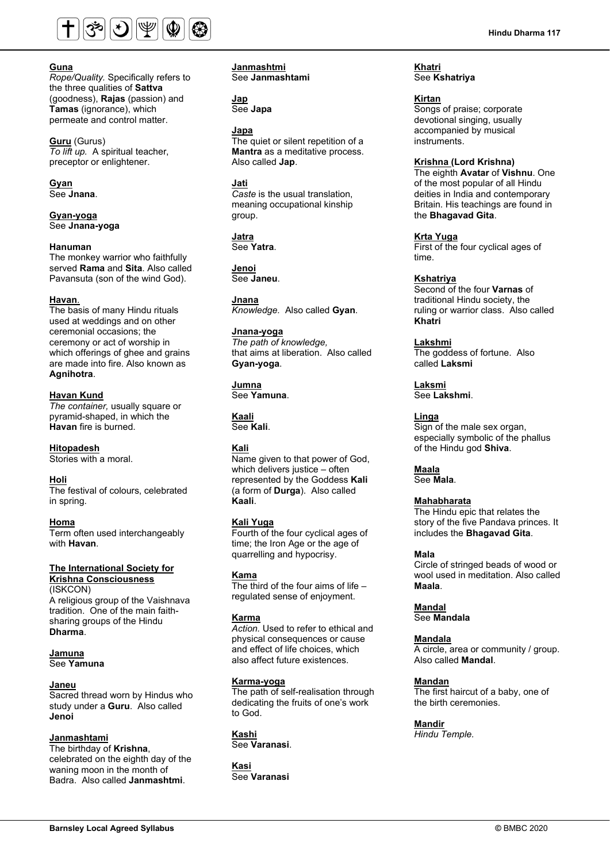

# **Guna**

*Rope/Quality.* Specifically refers to the three qualities of **Sattva** (goodness), **Rajas** (passion) and **Tamas** (ignorance), which permeate and control matter.

**Guru** (Gurus) *To lift up.*A spiritual teacher, preceptor or enlightener.

**Gyan** See **Jnana**.

**Gyan-yoga** See **Jnana-yoga**

#### **Hanuman**

The monkey warrior who faithfully served **Rama** and **Sita**. Also called Pavansuta (son of the wind God).

#### **Havan**.

The basis of many Hindu rituals used at weddings and on other ceremonial occasions; the ceremony or act of worship in which offerings of ghee and grains are made into fire. Also known as **Agnihotra**.

**Havan Kund** *The container,* usually square or pyramid-shaped, in which the **Havan** fire is burned.

#### **Hitopadesh**

Stories with a moral.

#### **Holi**

The festival of colours, celebrated in spring.

#### **Homa**

Term often used interchangeably with **Havan**.

#### **The International Society for Krishna Consciousness**

(ISKCON) A religious group of the Vaishnava tradition. One of the main faithsharing groups of the Hindu **Dharma**.

# **Jamuna**

See **Yamuna**

### **Janeu**

Sacred thread worn by Hindus who study under a **Guru**. Also called **Jenoi**

# **Janmashtami**

The birthday of **Krishna**, celebrated on the eighth day of the waning moon in the month of Badra. Also called **Janmashtmi**.

**Janmashtmi** See **Janmashtami**

**Jap** See **Japa**

#### **Japa**

The quiet or silent repetition of a **Mantra** as a meditative process. Also called **Jap**.

### **Jati**

*Caste* is the usual translation, meaning occupational kinship group.

**Jatra** See **Yatra**.

**Jenoi** See **Janeu**.

**Jnana** *Knowledge.* Also called **Gyan**.

### **Jnana-yoga**

*The path of knowledge,* that aims at liberation. Also called **Gyan-yoga**.

**Jumna** See **Yamuna**.

**Kaali** See **Kali**.

## **Kali**

Name given to that power of God, which delivers justice – often represented by the Goddess **Kali** (a form of **Durga**). Also called **Kaali**.

## **Kali Yuga**

Fourth of the four cyclical ages of time; the Iron Age or the age of quarrelling and hypocrisy.

### **Kama**

The third of the four aims of life – regulated sense of enjoyment.

### **Karma**

*Action.* Used to refer to ethical and physical consequences or cause and effect of life choices, which also affect future existences.

### **Karma-yoga**

The path of self-realisation through dedicating the fruits of one's work to God.

**Kashi** See **Varanasi**.

**Kasi** See **Varanasi** **Khatri** See **Kshatriya**

### **Kirtan**

Songs of praise; corporate devotional singing, usually accompanied by musical instruments.

## **Krishna (Lord Krishna)**

The eighth **Avatar** of **Vishnu**. One of the most popular of all Hindu deities in India and contemporary Britain. His teachings are found in the **Bhagavad Gita**.

**Krta Yuga**

First of the four cyclical ages of time.

## **Kshatriya**

Second of the four **Varnas** of traditional Hindu society, the ruling or warrior class. Also called **Khatri**

**Lakshmi** The goddess of fortune. Also called **Laksmi**

**Laksmi** See **Lakshmi**.

#### **Linga**

Sign of the male sex organ, especially symbolic of the phallus of the Hindu god **Shiva**.

**Maala** See **Mala**.

### **Mahabharata**

The Hindu epic that relates the story of the five Pandava princes. It includes the **Bhagavad Gita**.

#### **Mala**

Circle of stringed beads of wood or wool used in meditation. Also called **Maala**.

# **Mandal**

See **Mandala**

### **Mandala**

A circle, area or community / group. Also called **Mandal**.

### **Mandan**

The first haircut of a baby, one of the birth ceremonies.

**Mandir**

*Hindu Temple.*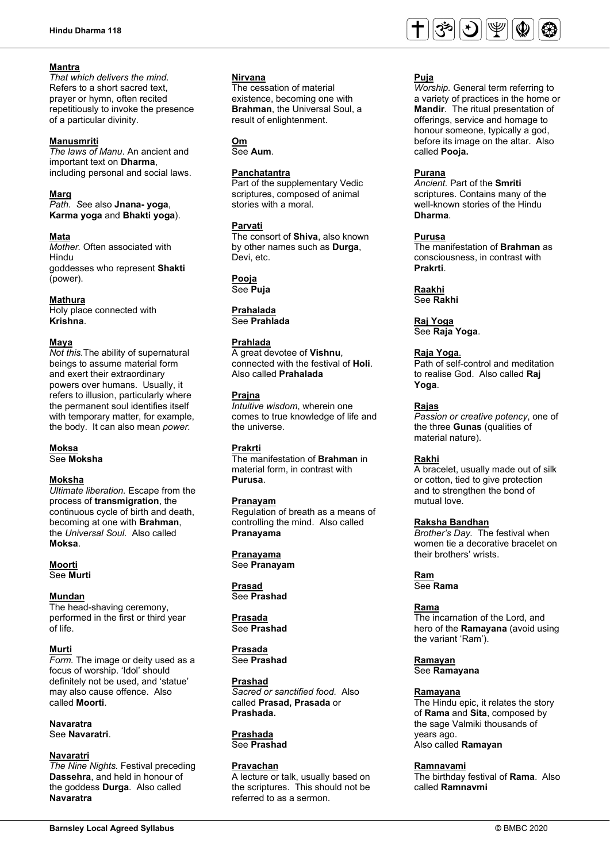# **Mantra**

*That which delivers the mind*. Refers to a short sacred text, prayer or hymn, often recited repetitiously to invoke the presence of a particular divinity.

## **Manusmriti**

*The laws of Manu*. An ancient and important text on **Dharma**, including personal and social laws.

## **Marg**

*Path. S*ee also **Jnana- yoga**, **Karma yoga** and **Bhakti yoga**).

# **Mata**

*Mother.* Often associated with Hindu goddesses who represent **Shakti** (power).

# **Mathura**

Holy place connected with **Krishna**.

# **Maya**

*Not this.*The ability of supernatural beings to assume material form and exert their extraordinary powers over humans. Usually, it refers to illusion, particularly where the permanent soul identifies itself with temporary matter, for example, the body. It can also mean *power.*

#### **Moksa** See **Moksha**

**Moksha** *Ultimate liberation.* Escape from the process of **transmigration**, the continuous cycle of birth and death, becoming at one with **Brahman**, the *Universal Soul.* Also called **Moksa**.

**Moorti** See **Murti**

# **Mundan**

The head-shaving ceremony, performed in the first or third year of life.

# **Murti**

*Form.* The image or deity used as a focus of worship. 'Idol' should definitely not be used, and 'statue' may also cause offence. Also called **Moorti**.

### **Navaratra** See **Navaratri**.

## **Navaratri**

*The Nine Nights.* Festival preceding **Dassehra**, and held in honour of the goddess **Durga**. Also called **Navaratra**

# **Nirvana**

The cessation of material existence, becoming one with **Brahman**, the Universal Soul, a result of enlightenment.

# **Om**

See **Aum**.

# **Panchatantra**

Part of the supplementary Vedic scriptures, composed of animal stories with a moral.

# **Parvati**

The consort of **Shiva**, also known by other names such as **Durga**, Devi, etc.

**Pooja** See **Puja**

# **Prahalada**

See **Prahlada**

# **Prahlada**

A great devotee of **Vishnu**, connected with the festival of **Holi**. Also called **Prahalada**

# **Prajna**

*Intuitive wisdom*, wherein one comes to true knowledge of life and the universe.

# **Prakrti**

The manifestation of **Brahman** in material form, in contrast with **Purusa**.

# **Pranayam**

Regulation of breath as a means of controlling the mind. Also called **Pranayama**

**Pranayama** See **Pranayam**

**Prasad** See **Prashad**

**Prasada** See **Prashad**

#### **Prasada** See **Prashad**

**Prashad** *Sacred or sanctified food.* Also called **Prasad, Prasada** or **Prashada.**

#### **Prashada** See **Prashad**

**Pravachan** A lecture or talk, usually based on the scriptures. This should not be referred to as a sermon.



# **Puja**

*Worship.* General term referring to a variety of practices in the home or **Mandir**. The ritual presentation of offerings, service and homage to honour someone, typically a god, before its image on the altar. Also called **Pooja.**

# **Purana**

*Ancient.* Part of the **Smriti** scriptures. Contains many of the well-known stories of the Hindu **Dharma**.

## **Purusa**

The manifestation of **Brahman** as consciousness, in contrast with **Prakrti**.

**Raakhi** See **Rakhi**

**Raj Yoga** See **Raja Yoga**.

# **Raja Yoga**.

Path of self-control and meditation to realise God. Also called **Raj Yoga**.

# **Rajas**

*Passion or creative potency*, one of the three **Gunas** (qualities of material nature).

# **Rakhi**

A bracelet, usually made out of silk or cotton, tied to give protection and to strengthen the bond of mutual love.

## **Raksha Bandhan**

*Brother's Day.* The festival when women tie a decorative bracelet on their brothers' wrists.

**Ram** See **Rama**

# **Rama**

The incarnation of the Lord, and hero of the **Ramayana** (avoid using the variant 'Ram').

**Ramayan** See **Ramayana**

## **Ramayana**

The Hindu epic, it relates the story of **Rama** and **Sita**, composed by the sage Valmiki thousands of years ago. Also called **Ramayan**

## **Ramnavami**

The birthday festival of **Rama**. Also called **Ramnavmi**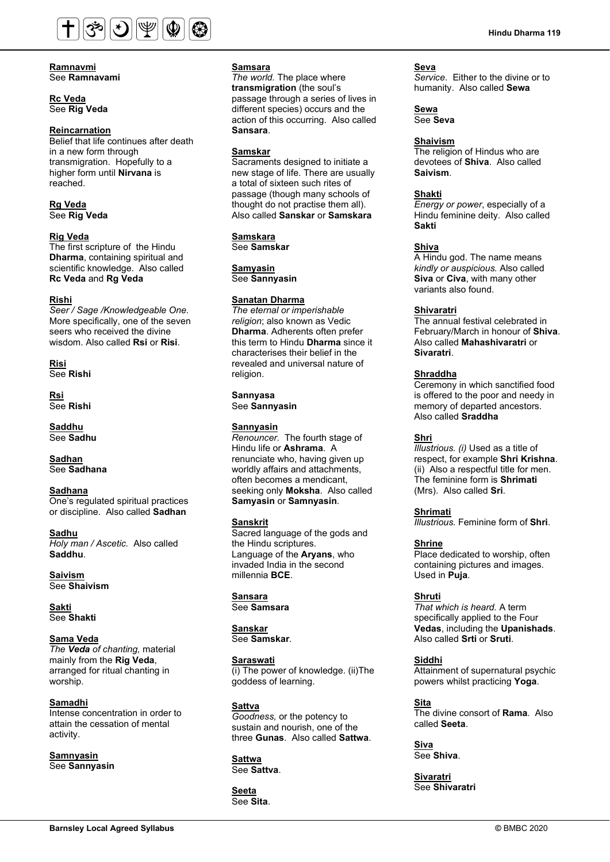

**Ramnavmi** See **Ramnavami**

### **Rc Veda**  See **Rig Veda**

### **Reincarnation**

Belief that life continues after death in a new form through transmigration. Hopefully to a higher form until **Nirvana** is reached.

### **Rg Veda** See **Rig Veda**

# **Rig Veda**

The first scripture of the Hindu **Dharma**, containing spiritual and scientific knowledge. Also called **Rc Veda** and **Rg Veda**

#### **Rishi**

*Seer / Sage /Knowledgeable One.* More specifically, one of the seven seers who received the divine wisdom. Also called **Rsi** or **Risi**.

**Risi** See **Rishi**

**Rsi** See **Rishi**

**Saddhu** See **Sadhu**

**Sadhan** See **Sadhana**

#### **Sadhana** One's regulated spiritual practices or discipline. Also called **Sadhan**

**Sadhu** *Holy man / Ascetic.* Also called **Saddhu**.

**Saivism** See **Shaivism**

**Sakti** See **Shakti**

**Sama Veda** *The Veda of chanting,* material mainly from the **Rig Veda**, arranged for ritual chanting in worship.

**Samadhi** Intense concentration in order to attain the cessation of mental activity.

**Samnyasin** See **Sannyasin**

### **Samsara**

*The world.* The place where **transmigration** (the soul's passage through a series of lives in different species) occurs and the action of this occurring. Also called **Sansara**.

### **Samskar**

Sacraments designed to initiate a new stage of life. There are usually a total of sixteen such rites of passage (though many schools of thought do not practise them all). Also called **Sanskar** or **Samskara**

**Samskara** See **Samskar**

**Samyasin** See **Sannyasin**

### **Sanatan Dharma**

*The eternal or imperishable religion*; also known as Vedic **Dharma**. Adherents often prefer this term to Hindu **Dharma** since it characterises their belief in the revealed and universal nature of religion.

**Sannyasa** See **Sannyasin**

### **Sannyasin**

*Renouncer.* The fourth stage of Hindu life or **Ashrama**. A renunciate who, having given up worldly affairs and attachments, often becomes a mendicant, seeking only **Moksha**. Also called **Samyasin** or **Samnyasin**.

### **Sanskrit**

Sacred language of the gods and the Hindu scriptures. Language of the **Aryans**, who invaded India in the second millennia **BCE**.

#### **Sansara** See **Samsara**

**Sanskar** See **Samskar**.

**Saraswati**  $\overline{p}$  (i) The power of knowledge. (ii)The goddess of learning.

**Sattva** *Goodness,* or the potency to sustain and nourish, one of the three **Gunas**. Also called **Sattwa**.

**Sattwa**  See **Sattva**.

**Seeta**  See **Sita**.

### **Seva**

*Service*. Either to the divine or to humanity. Also called **Sewa**

**Sewa**  See **Seva**

### **Shaivism**

The religion of Hindus who are devotees of **Shiva**. Also called **Saivism**.

## **Shakti**

*Energy or power*, especially of a Hindu feminine deity. Also called **Sakti**

## **Shiva**

A Hindu god. The name means *kindly or auspicious.* Also called **Siva** or **Civa**, with many other variants also found.

### **Shivaratri**

The annual festival celebrated in February/March in honour of **Shiva**. Also called **Mahashivaratri** or **Sivaratri**.

### **Shraddha**

Ceremony in which sanctified food is offered to the poor and needy in memory of departed ancestors. Also called **Sraddha**

## **Shri**

*Illustrious. (i)* Used as a title of respect, for example **Shri Krishna**. (ii) Also a respectful title for men. The feminine form is **Shrimati**  (Mrs). Also called **Sri**.

**Shrimati** 

*Illustrious.* Feminine form of **Shri**.

# **Shrine**

Place dedicated to worship, often containing pictures and images. Used in **Puja**.

## **Shruti**

*That which is heard.* A term specifically applied to the Four **Vedas**, including the **Upanishads**. Also called **Srti** or **Sruti**.

## **Siddhi**

Attainment of supernatural psychic powers whilst practicing **Yoga**.

**Sita** 

The divine consort of **Rama**. Also called **Seeta**.

**Siva**  See **Shiva**.

**Sivaratri** See **Shivaratri**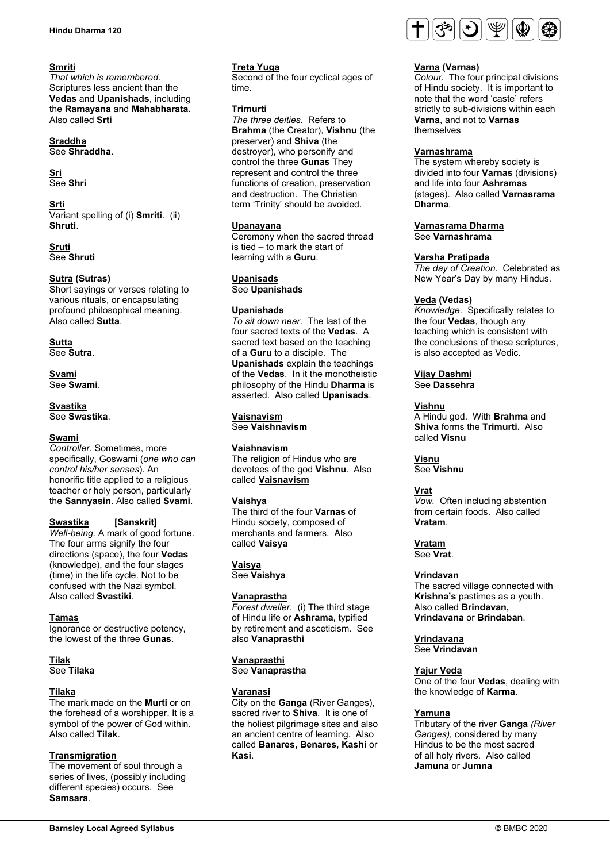## **Smriti**

*That which is remembered.*  Scriptures less ancient than the **Vedas** and **Upanishads**, including the **Ramayana** and **Mahabharata.**  Also called **Srti**

# **Sraddha**

See **Shraddha**.

# **Sri**

See **Shri**

**Srti** Variant spelling of (i) **Smriti**. (ii) **Shruti**.

**Sruti** See **Shruti**

# **Sutra (Sutras)**

Short sayings or verses relating to various rituals, or encapsulating profound philosophical meaning. Also called **Sutta**.

### **Sutta** See **Sutra**.

**Svami** See **Swami**.

#### **Svastika** See **Swastika**.

## **Swami**

*Controller.* Sometimes, more specifically, Goswami (*one who can control his/her senses*). An honorific title applied to a religious teacher or holy person, particularly the **Sannyasin**. Also called **Svami**.

## **Swastika [Sanskrit]**

*Well-being.* A mark of good fortune. The four arms signify the four directions (space), the four **Vedas** (knowledge), and the four stages (time) in the life cycle. Not to be confused with the Nazi symbol. Also called **Svastiki**.

## **Tamas**

Ignorance or destructive potency, the lowest of the three **Gunas**.

# **Tilak**

See **Tilaka**

# **Tilaka**

The mark made on the **Murti** or on the forehead of a worshipper. It is a symbol of the power of God within. Also called **Tilak**.

## **Transmigration**

The movement of soul through a series of lives, (possibly including different species) occurs. See **Samsara**.

## **Treta Yuga**

Second of the four cyclical ages of time.

## **Trimurti**

*The three deities.* Refers to **Brahma** (the Creator), **Vishnu** (the preserver) and **Shiva** (the destroyer), who personify and control the three **Gunas** They represent and control the three functions of creation, preservation and destruction. The Christian term 'Trinity' should be avoided.

### **Upanayana**

Ceremony when the sacred thread is tied – to mark the start of learning with a **Guru**.

## **Upanisads**

See **Upanishads**

# **Upanishads**

*To sit down near.* The last of the four sacred texts of the **Vedas**. A sacred text based on the teaching of a **Guru** to a disciple. The **Upanishads** explain the teachings of the **Vedas**. In it the monotheistic philosophy of the Hindu **Dharma** is asserted. Also called **Upanisads**.

# **Vaisnavism**

See **Vaishnavism**

## **Vaishnavism**

The religion of Hindus who are devotees of the god **Vishnu**. Also called **Vaisnavism**

# **Vaishya**

The third of the four **Varnas** of Hindu society, composed of merchants and farmers. Also called **Vaisya**

**Vaisya** See **Vaishya**

## **Vanaprastha**

*Forest dweller.* (i) The third stage of Hindu life or **Ashrama**, typified by retirement and asceticism. See also **Vanaprasthi**

**Vanaprasthi** See **Vanaprastha**

## **Varanasi**

City on the **Ganga** (River Ganges), sacred river to **Shiva**. It is one of the holiest pilgrimage sites and also an ancient centre of learning. Also called **Banares, Benares, Kashi** or **Kasi**.



## **Varna (Varnas)**

*Colour.* The four principal divisions of Hindu society. It is important to note that the word 'caste' refers strictly to sub-divisions within each **Varna**, and not to **Varnas** themselves

## **Varnashrama**

The system whereby society is divided into four **Varnas** (divisions) and life into four **Ashramas**  (stages). Also called **Varnasrama Dharma**.

# **Varnasrama Dharma**

See **Varnashrama** 

## **Varsha Pratipada**

*The day of Creation.* Celebrated as New Year's Day by many Hindus.

### **Veda (Vedas)**

*Knowledge.* Specifically relates to the four **Vedas**, though any teaching which is consistent with the conclusions of these scriptures, is also accepted as Vedic.

# **Vijay Dashmi**

See **Dassehra**

## **Vishnu**

A Hindu god. With **Brahma** and **Shiva** forms the **Trimurti.** Also called **Visnu**

# **Visnu**

See **Vishnu**

## **Vrat**

*Vow.* Often including abstention from certain foods. Also called **Vratam**.

**Vratam**

See **Vrat**.

## **Vrindavan**

The sacred village connected with **Krishna's** pastimes as a youth. Also called **Brindavan, Vrindavana** or **Brindaban**.

# **Vrindavana**

See **Vrindavan**

## **Yajur Veda**

One of the four **Vedas**, dealing with the knowledge of **Karma**.

## **Yamuna**

Tributary of the river **Ganga** *(River Ganges),* considered by many Hindus to be the most sacred of all holy rivers. Also called **Jamuna** or **Jumna**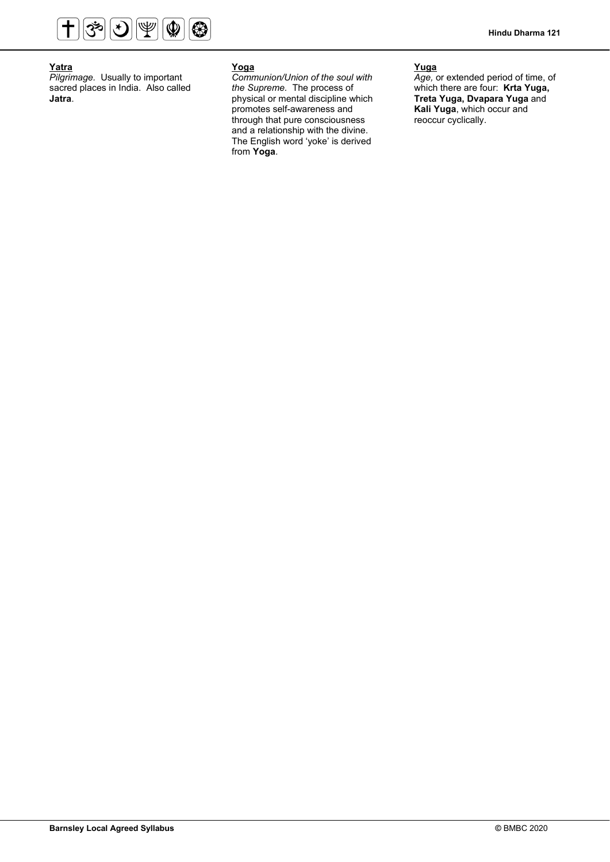

## **Yatra**

*Pilgrimage.* Usually to important sacred places in India. Also called **Jatra**.

# **Yoga**

*Communion/Union of the soul with the Supreme.* The process of physical or mental discipline which promotes self-awareness and through that pure consciousness and a relationship with the divine. The English word 'yoke' is derived from **Yoga**.

# **Yuga**

*Age,* or extended period of time, of which there are four: **Krta Yuga, Treta Yuga, Dvapara Yuga** and **Kali Yuga**, which occur and reoccur cyclically.